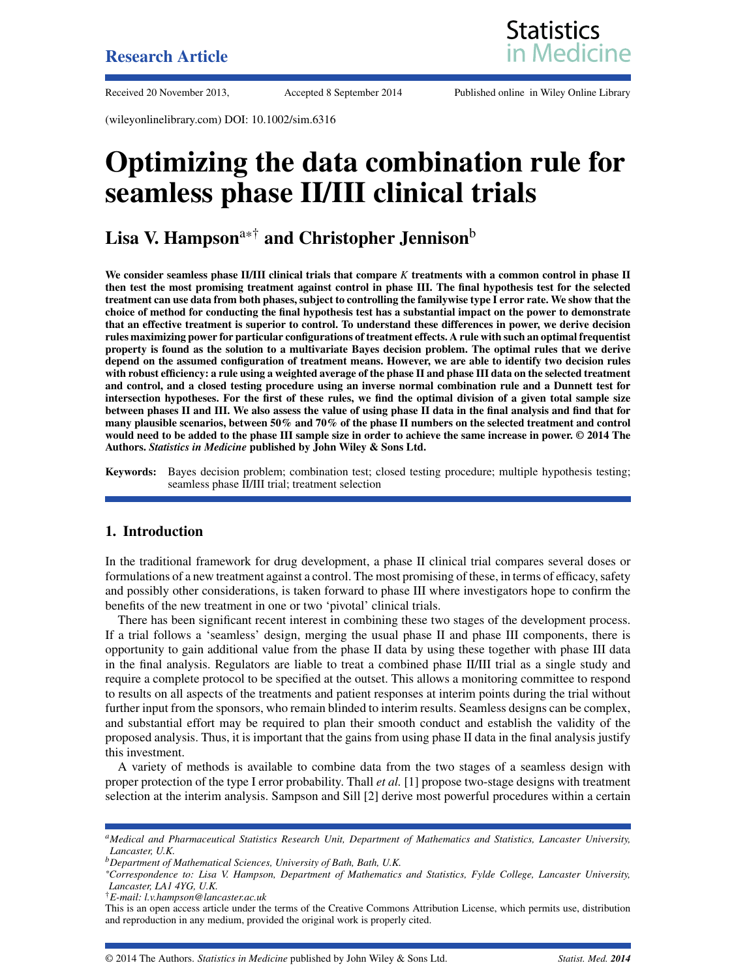

Received 20 November 2013, Accepted 8 September 2014 Published online in Wiley Online Library

(wileyonlinelibrary.com) DOI: 10.1002/sim.6316

# **Optimizing the data combination rule for seamless phase II/III clinical trials**

# **Lisa V. Hampson**a\*† **and Christopher Jennison**<sup>b</sup>

**We consider seamless phase II/III clinical trials that compare** *K* **treatments with a common control in phase II then test the most promising treatment against control in phase III. The final hypothesis test for the selected treatment can use data from both phases, subject to controlling the familywise type I error rate. We show that the choice of method for conducting the final hypothesis test has a substantial impact on the power to demonstrate that an effective treatment is superior to control. To understand these differences in power, we derive decision rules maximizing power for particular configurations of treatment effects. A rule with such an optimal frequentist property is found as the solution to a multivariate Bayes decision problem. The optimal rules that we derive depend on the assumed configuration of treatment means. However, we are able to identify two decision rules with robust efficiency: a rule using a weighted average of the phase II and phase III data on the selected treatment and control, and a closed testing procedure using an inverse normal combination rule and a Dunnett test for intersection hypotheses. For the first of these rules, we find the optimal division of a given total sample size between phases II and III. We also assess the value of using phase II data in the final analysis and find that for many plausible scenarios, between 50% and 70% of the phase II numbers on the selected treatment and control would need to be added to the phase III sample size in order to achieve the same increase in power. © 2014 The Authors.** *Statistics in Medicine* **published by John Wiley & Sons Ltd.**

**Keywords:** Bayes decision problem; combination test; closed testing procedure; multiple hypothesis testing; seamless phase II/III trial; treatment selection

#### **1. Introduction**

In the traditional framework for drug development, a phase II clinical trial compares several doses or formulations of a new treatment against a control. The most promising of these, in terms of efficacy, safety and possibly other considerations, is taken forward to phase III where investigators hope to confirm the benefits of the new treatment in one or two 'pivotal' clinical trials.

There has been significant recent interest in combining these two stages of the development process. If a trial follows a 'seamless' design, merging the usual phase II and phase III components, there is opportunity to gain additional value from the phase II data by using these together with phase III data in the final analysis. Regulators are liable to treat a combined phase II/III trial as a single study and require a complete protocol to be specified at the outset. This allows a monitoring committee to respond to results on all aspects of the treatments and patient responses at interim points during the trial without further input from the sponsors, who remain blinded to interim results. Seamless designs can be complex, and substantial effort may be required to plan their smooth conduct and establish the validity of the proposed analysis. Thus, it is important that the gains from using phase II data in the final analysis justify this investment.

A variety of methods is available to combine data from the two stages of a seamless design with proper protection of the type I error probability. Thall *et al.* [\[1\]](#page-18-0) propose two-stage designs with treatment selection at the interim analysis. Sampson and Sill [\[2\]](#page-18-1) derive most powerful procedures within a certain

*aMedical and Pharmaceutical Statistics Research Unit, Department of Mathematics and Statistics, Lancaster University, Lancaster, U.K.*

*bDepartment of Mathematical Sciences, University of Bath, Bath, U.K.*

*<sup>\*</sup>Correspondence to: Lisa V. Hampson, Department of Mathematics and Statistics, Fylde College, Lancaster University, Lancaster, LA1 4YG, U.K.*

<sup>†</sup>*E-mail: l.v.hampson@lancaster.ac.uk*

This is an open access article under the terms of the [Creative Commons Attribution](http://creativecommons.org/licenses/by/3.0/) License, which permits use, distribution and reproduction in any medium, provided the original work is properly cited.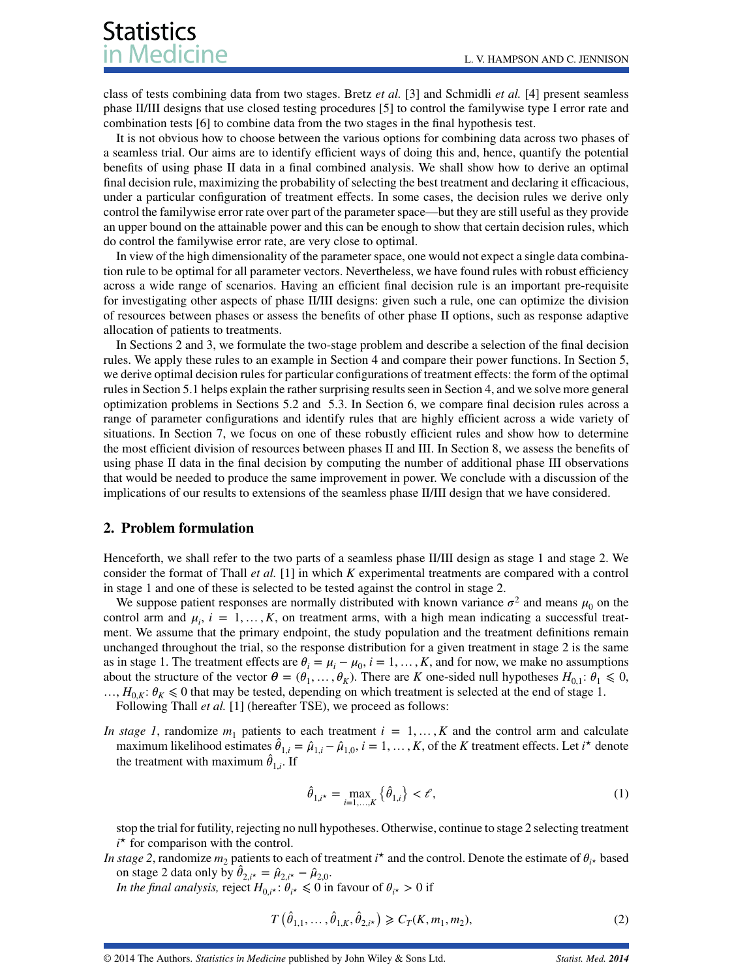class of tests combining data from two stages. Bretz *et al.* [\[3\]](#page-18-2) and Schmidli *et al.* [\[4\]](#page-18-3) present seamless phase II/III designs that use closed testing procedures [\[5\]](#page-18-4) to control the familywise type I error rate and combination tests [\[6\]](#page-18-5) to combine data from the two stages in the final hypothesis test.

It is not obvious how to choose between the various options for combining data across two phases of a seamless trial. Our aims are to identify efficient ways of doing this and, hence, quantify the potential benefits of using phase II data in a final combined analysis. We shall show how to derive an optimal final decision rule, maximizing the probability of selecting the best treatment and declaring it efficacious, under a particular configuration of treatment effects. In some cases, the decision rules we derive only control the familywise error rate over part of the parameter space—but they are still useful as they provide an upper bound on the attainable power and this can be enough to show that certain decision rules, which do control the familywise error rate, are very close to optimal.

In view of the high dimensionality of the parameter space, one would not expect a single data combination rule to be optimal for all parameter vectors. Nevertheless, we have found rules with robust efficiency across a wide range of scenarios. Having an efficient final decision rule is an important pre-requisite for investigating other aspects of phase II/III designs: given such a rule, one can optimize the division of resources between phases or assess the benefits of other phase II options, such as response adaptive allocation of patients to treatments.

In Sections [2](#page-1-0) and [3,](#page-2-0) we formulate the two-stage problem and describe a selection of the final decision rules. We apply these rules to an example in Section [4](#page-3-0) and compare their power functions. In Section [5,](#page-4-0) we derive optimal decision rules for particular configurations of treatment effects: the form of the optimal rules in Section 5.1 helps explain the rather surprising results seen in Section [4,](#page-3-0) and we solve more general optimization problems in Sections 5.2 and [5.3.](#page-10-0) In Section [6,](#page-11-0) we compare final decision rules across a range of parameter configurations and identify rules that are highly efficient across a wide variety of situations. In Section [7,](#page-13-0) we focus on one of these robustly efficient rules and show how to determine the most efficient division of resources between phases II and III. In Section [8,](#page-15-0) we assess the benefits of using phase II data in the final decision by computing the number of additional phase III observations that would be needed to produce the same improvement in power. We conclude with a discussion of the implications of our results to extensions of the seamless phase II/III design that we have considered.

#### <span id="page-1-0"></span>**2. Problem formulation**

Henceforth, we shall refer to the two parts of a seamless phase II/III design as stage 1 and stage 2. We consider the format of Thall *et al.* [\[1\]](#page-18-0) in which *K* experimental treatments are compared with a control in stage 1 and one of these is selected to be tested against the control in stage 2.

We suppose patient responses are normally distributed with known variance  $\sigma^2$  and means  $\mu_0$  on the control arm and  $\mu_i$ ,  $i = 1, ..., K$ , on treatment arms, with a high mean indicating a successful treatment. We assume that the primary endpoint, the study population and the treatment definitions remain unchanged throughout the trial, so the response distribution for a given treatment in stage 2 is the same as in stage 1. The treatment effects are  $\theta_i = \mu_i - \mu_0$ ,  $i = 1, ..., K$ , and for now, we make no assumptions about the structure of the vector  $\theta = (\theta_1, \dots, \theta_K)$ . There are *K* one-sided null hypotheses  $H_{0,1}$ :  $\theta_1 \le 0$ ,  $..., H_{0,K}$ :  $\theta_K \leq 0$  that may be tested, depending on which treatment is selected at the end of stage 1.

Following Thall *et al.* [\[1\]](#page-18-0) (hereafter TSE), we proceed as follows:

*In stage 1*, randomize  $m_1$  patients to each treatment  $i = 1, ..., K$  and the control arm and calculate maximum likelihood estimates  $\hat{\theta}_{1,i} = \hat{\mu}_{1,i} - \hat{\mu}_{1,0}, i = 1, \ldots, K$ , of the *K* treatment effects. Let  $i^*$  denote the treatment with maximum  $\hat{\theta}_{1,i}$ . If

<span id="page-1-2"></span>
$$
\hat{\theta}_{1,i^*} = \max_{i=1,...,K} \left\{ \hat{\theta}_{1,i} \right\} < \ell \,,\tag{1}
$$

stop the trial for futility, rejecting no null hypotheses. Otherwise, continue to stage 2 selecting treatment  $i^*$  for comparison with the control.

*In stage 2*, randomize  $m_2$  patients to each of treatment *i*<sup>\*</sup> and the control. Denote the estimate of  $\theta_{i*}$  based on stage 2 data only by  $\hat{\theta}_{2,i^*} = \hat{\mu}_{2,i^*} - \hat{\mu}_{2,0}$ .

*In the final analysis,* reject  $H_{0,i^\star}$ :  $\theta_{i^\star} \leq 0$  in favour of  $\theta_{i^\star} > 0$  if

<span id="page-1-1"></span>
$$
T(\hat{\theta}_{1,1}, \dots, \hat{\theta}_{1,K}, \hat{\theta}_{2,i^*}) \ge C_T(K, m_1, m_2),
$$
\n(2)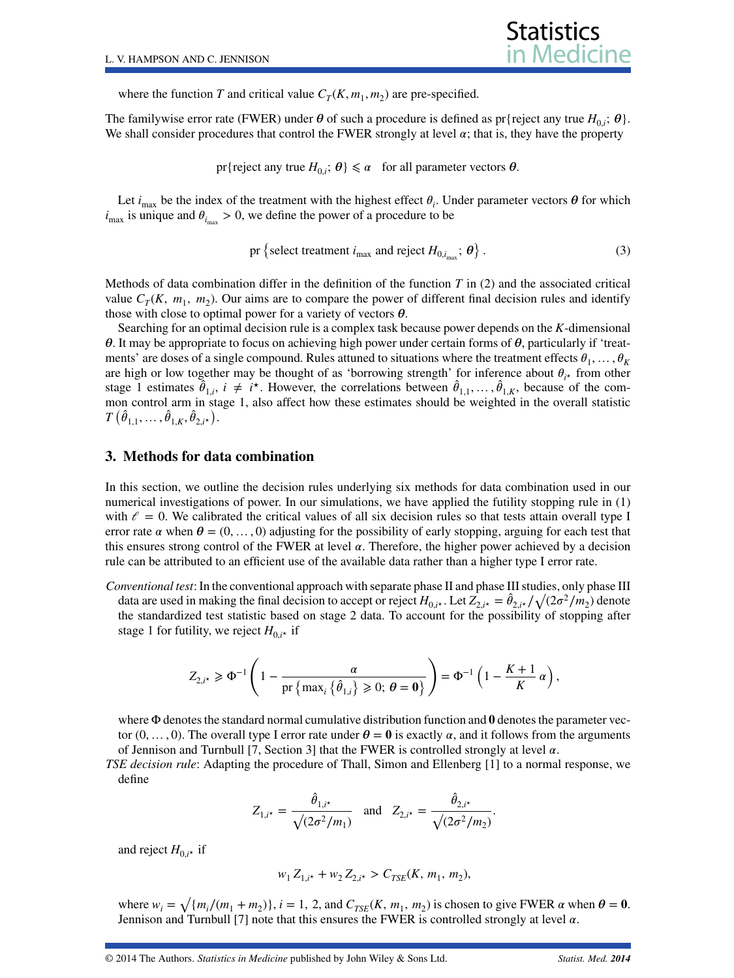where the function *T* and critical value  $C_T(K, m_1, m_2)$  are pre-specified.

The familywise error rate (FWER) under  $\theta$  of such a procedure is defined as pr{reject any true  $H_{0,i}$ ;  $\theta$ }. We shall consider procedures that control the FWER strongly at level  $\alpha$ ; that is, they have the property

pr{reject any true  $H_{0,i}$ ;  $\theta$ }  $\le \alpha$  for all parameter vectors  $\theta$ .

Let  $i_{\text{max}}$  be the index of the treatment with the highest effect  $\theta_i$ . Under parameter vectors  $\theta$  for which  $i_{\text{max}}$  is unique and  $\theta_{i_{\text{max}}} > 0$ , we define the power of a procedure to be

<span id="page-2-1"></span>pr {select treatment 
$$
i_{\text{max}}
$$
 and reject  $H_{0,i_{\text{max}}}; \theta$  }. (3)

Methods of data combination differ in the definition of the function *T* in [\(2\)](#page-1-1) and the associated critical value  $C_T(K, m_1, m_2)$ . Our aims are to compare the power of different final decision rules and identify those with close to optimal power for a variety of vectors  $\theta$ .

Searching for an optimal decision rule is a complex task because power depends on the *K*-dimensional  $\theta$ . It may be appropriate to focus on achieving high power under certain forms of  $\theta$ , particularly if 'treatments' are doses of a single compound. Rules attuned to situations where the treatment effects  $\theta_1, \ldots, \theta_K$ are high or low together may be thought of as 'borrowing strength' for inference about  $\theta_{i\star}$  from other stage 1 estimates  $\hat{\theta}_{1,i}$ ,  $i \neq i^*$ . However, the correlations between  $\hat{\theta}_{1,1}, \dots, \hat{\theta}_{1,K}$ , because of the common control arm in stage 1, also affect how these estimates should be weighted in the overall statistic  $T\left(\hat{\theta}_{1,1}, \ldots, \hat{\theta}_{1,K}, \hat{\theta}_{2,i^\star}\right)$ .

#### <span id="page-2-0"></span>**3. Methods for data combination**

In this section, we outline the decision rules underlying six methods for data combination used in our numerical investigations of power. In our simulations, we have applied the futility stopping rule in [\(1\)](#page-1-2) with  $\ell = 0$ . We calibrated the critical values of all six decision rules so that tests attain overall type I error rate  $\alpha$  when  $\theta = (0, \dots, 0)$  adjusting for the possibility of early stopping, arguing for each test that this ensures strong control of the FWER at level  $\alpha$ . Therefore, the higher power achieved by a decision rule can be attributed to an efficient use of the available data rather than a higher type I error rate.

*Conventional test*: In the conventional approach with separate phase II and phase III studies, only phase III data are used in making the final decision to accept or reject  $H_{0,i*}$ . Let  $Z_{2,i*} = \hat{\theta}_{2,i*} / \sqrt{(2\sigma^2/m_2)}$  denote the standardized test statistic based on stage 2 data. To account for the possibility of stopping after stage 1 for futility, we reject  $H_{0,i*}$  if

$$
Z_{2,i^*} \geq \Phi^{-1}\left(1 - \frac{\alpha}{\text{pr}\left\{\max_i\left\{\hat{\theta}_{1,i}\right\} \geq 0;\,\theta = \mathbf{0}\right\}}\right) = \Phi^{-1}\left(1 - \frac{K+1}{K}\alpha\right),\,
$$

where  $\Phi$  denotes the standard normal cumulative distribution function and  $\theta$  denotes the parameter vector  $(0, \ldots, 0)$ . The overall type I error rate under  $\theta = 0$  is exactly  $\alpha$ , and it follows from the arguments of Jennison and Turnbull [\[7,](#page-18-6) Section 3] that the FWER is controlled strongly at level  $\alpha$ .

*TSE decision rule*: Adapting the procedure of Thall, Simon and Ellenberg [\[1\]](#page-18-0) to a normal response, we define

$$
Z_{1,i^*} = \frac{\hat{\theta}_{1,i^*}}{\sqrt{(2\sigma^2/m_1)}} \quad \text{and} \quad Z_{2,i^*} = \frac{\hat{\theta}_{2,i^*}}{\sqrt{(2\sigma^2/m_2)}}.
$$

and reject  $H_{0,i^*}$  if

$$
w_1 Z_{1,i^*} + w_2 Z_{2,i^*} > C_{TSE}(K, m_1, m_2),
$$

where  $w_i = \sqrt{\{m_i/(m_1 + m_2)\}}$ ,  $i = 1, 2$ , and  $C_{TSE}(K, m_1, m_2)$  is chosen to give FWER  $\alpha$  when  $\theta = 0$ . Jennison and Turnbull [\[7\]](#page-18-6) note that this ensures the FWER is controlled strongly at level  $\alpha$ .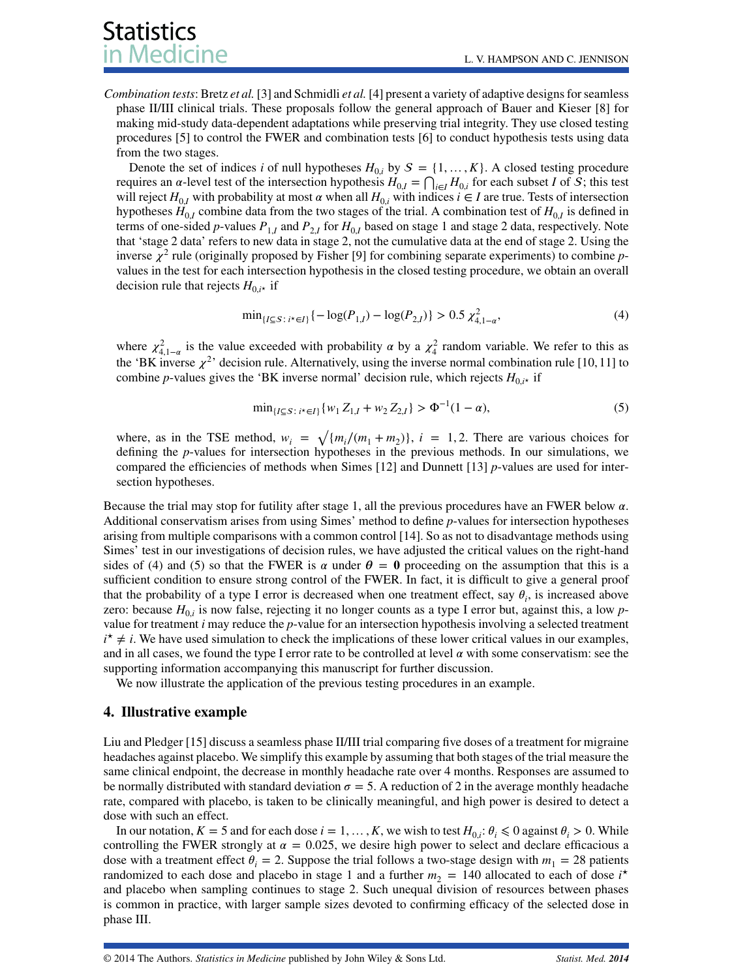*Combination tests*: Bretz *et al.* [\[3\]](#page-18-2) and Schmidli *et al.* [\[4\]](#page-18-3) present a variety of adaptive designs for seamless phase II/III clinical trials. These proposals follow the general approach of Bauer and Kieser [\[8\]](#page-18-7) for making mid-study data-dependent adaptations while preserving trial integrity. They use closed testing procedures [\[5\]](#page-18-4) to control the FWER and combination tests [\[6\]](#page-18-5) to conduct hypothesis tests using data from the two stages.

Denote the set of indices *i* of null hypotheses  $H_{0,i}$  by  $S = \{1, \ldots, K\}$ . A closed testing procedure requires an  $\alpha$ -level test of the intersection hypothesis  $H_{0,I} = \bigcap_{i \in I} H_{0,i}$  for each subset *I* of *S*; this test will reject  $H_{0,I}$  with probability at most  $\alpha$  when all  $H_{0,i}$  with indices  $i \in I$  are true. Tests of intersection hypotheses  $H_{0,I}$  combine data from the two stages of the trial. A combination test of  $H_{0,I}$  is defined in terms of one-sided *p*-values  $P_{1,I}$  and  $P_{2,I}$  for  $H_{0,I}$  based on stage 1 and stage 2 data, respectively. Note that 'stage 2 data' refers to new data in stage 2, not the cumulative data at the end of stage 2. Using the inverse  $\chi^2$  rule (originally proposed by Fisher [\[9\]](#page-18-8) for combining separate experiments) to combine *p*values in the test for each intersection hypothesis in the closed testing procedure, we obtain an overall decision rule that rejects  $H_{0,i*}$  if

<span id="page-3-1"></span>
$$
\min_{\{I \subseteq S : i^* \in I\}} \{-\log(P_{1,I}) - \log(P_{2,I})\} > 0.5 \chi^2_{4,1-\alpha},\tag{4}
$$

where  $\chi^2_{4,1-\alpha}$  is the value exceeded with probability  $\alpha$  by a  $\chi^2_4$  random variable. We refer to this as the 'BK inverse  $\chi^2$ ' decision rule. Alternatively, using the inverse normal combination rule [\[10,](#page-18-9) [11\]](#page-18-10) to combine *p*-values gives the 'BK inverse normal' decision rule, which rejects  $H_{0i*}$  if

<span id="page-3-2"></span>
$$
\min_{\{I \subseteq S : i^* \in I\}} \{w_1 Z_{1,I} + w_2 Z_{2,I}\} > \Phi^{-1}(1 - \alpha),\tag{5}
$$

where, as in the TSE method,  $w_i = \sqrt{\{m_i/(m_1 + m_2)\}}$ ,  $i = 1, 2$ . There are various choices for defining the *p*-values for intersection hypotheses in the previous methods. In our simulations, we compared the efficiencies of methods when Simes [\[12\]](#page-18-11) and Dunnett [\[13\]](#page-18-12) *p*-values are used for intersection hypotheses.

Because the trial may stop for futility after stage 1, all the previous procedures have an FWER below  $\alpha$ . Additional conservatism arises from using Simes' method to define *p*-values for intersection hypotheses arising from multiple comparisons with a common control [\[14\]](#page-18-13). So as not to disadvantage methods using Simes' test in our investigations of decision rules, we have adjusted the critical values on the right-hand sides of [\(4\)](#page-3-1) and [\(5\)](#page-3-2) so that the FWER is  $\alpha$  under  $\theta = 0$  proceeding on the assumption that this is a sufficient condition to ensure strong control of the FWER. In fact, it is difficult to give a general proof that the probability of a type I error is decreased when one treatment effect, say  $\theta_i$ , is increased above zero: because  $H_{0i}$  is now false, rejecting it no longer counts as a type I error but, against this, a low *p*value for treatment *i* may reduce the *p*-value for an intersection hypothesis involving a selected treatment  $i^* \neq i$ . We have used simulation to check the implications of these lower critical values in our examples, and in all cases, we found the type I error rate to be controlled at level  $\alpha$  with some conservatism: see the supporting information accompanying this manuscript for further discussion.

We now illustrate the application of the previous testing procedures in an example.

#### <span id="page-3-0"></span>**4. Illustrative example**

Liu and Pledger [\[15\]](#page-18-14) discuss a seamless phase II/III trial comparing five doses of a treatment for migraine headaches against placebo. We simplify this example by assuming that both stages of the trial measure the same clinical endpoint, the decrease in monthly headache rate over 4 months. Responses are assumed to be normally distributed with standard deviation  $\sigma = 5$ . A reduction of 2 in the average monthly headache rate, compared with placebo, is taken to be clinically meaningful, and high power is desired to detect a dose with such an effect.

In our notation,  $K = 5$  and for each dose  $i = 1, ..., K$ , we wish to test  $H_{0,i}: \theta_i \leq 0$  against  $\theta_i > 0$ . While controlling the FWER strongly at  $\alpha = 0.025$ , we desire high power to select and declare efficacious a dose with a treatment effect  $\theta_i = 2$ . Suppose the trial follows a two-stage design with  $m_1 = 28$  patients randomized to each dose and placebo in stage 1 and a further  $m_2 = 140$  allocated to each of dose  $i^*$ and placebo when sampling continues to stage 2. Such unequal division of resources between phases is common in practice, with larger sample sizes devoted to confirming efficacy of the selected dose in phase III.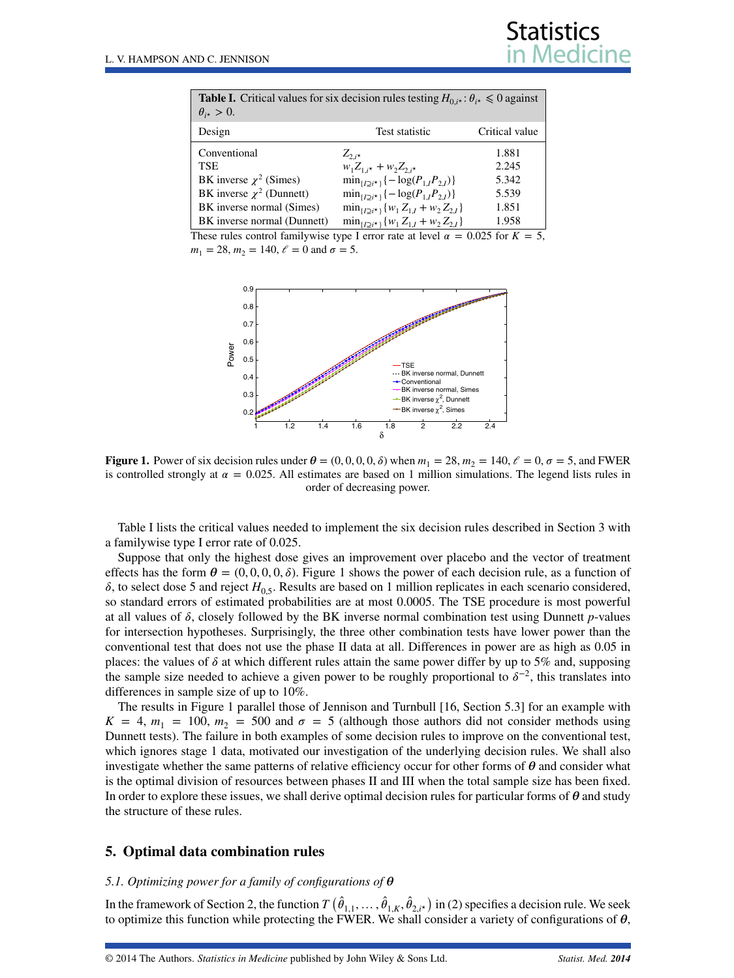<span id="page-4-1"></span>

| <b>Table I.</b> Critical values for six decision rules testing $H_{0,i*}$ : $\theta_{i*} \le 0$ against<br>$\theta_{i\star} > 0.$ |                                                           |                |  |  |  |  |
|-----------------------------------------------------------------------------------------------------------------------------------|-----------------------------------------------------------|----------------|--|--|--|--|
| Design                                                                                                                            | Test statistic                                            | Critical value |  |  |  |  |
| Conventional<br><b>TSE</b>                                                                                                        | $Z_{2ik}$<br>$w_1 Z_{1,i*} + w_2 Z_{2,i*}$                | 1.881<br>2.245 |  |  |  |  |
| BK inverse $\chi^2$ (Simes)                                                                                                       | $\min_{\{I \supset i^* \}} \{-\log(P_{1,I}P_{2,I})\}$     | 5.342          |  |  |  |  |
| BK inverse $\chi^2$ (Dunnett)                                                                                                     | $\min_{\{I \supset i^* \}} \{-\log(P_{1,I}P_{2,I})\}$     | 5.539          |  |  |  |  |
| BK inverse normal (Simes)                                                                                                         | $\min_{\{I \supset i^* \}} \{w_1 Z_{1,I} + w_2 Z_{2,I}\}$ | 1.851          |  |  |  |  |
| BK inverse normal (Dunnett)                                                                                                       | $\min_{\{I \supset i^* \}} \{w_1 Z_{1,I} + w_2 Z_{2,I}\}$ | 1.958          |  |  |  |  |

These rules control familywise type I error rate at level  $\alpha = 0.025$  for  $K = 5$ ,  $m_1 = 28$ ,  $m_2 = 140$ ,  $\ell = 0$  and  $\sigma = 5$ .



<span id="page-4-2"></span>**Figure 1.** Power of six decision rules under  $\theta = (0, 0, 0, 0, \delta)$  when  $m_1 = 28$ ,  $m_2 = 140$ ,  $\ell = 0$ ,  $\sigma = 5$ , and FWER is controlled strongly at  $\alpha = 0.025$ . All estimates are based on 1 million simulations. The legend lists rules in order of decreasing power.

Table [I](#page-4-1) lists the critical values needed to implement the six decision rules described in Section [3](#page-2-0) with a familywise type I error rate of 0.025.

Suppose that only the highest dose gives an improvement over placebo and the vector of treatment effects has the form  $\theta = (0, 0, 0, 0, \delta)$ . Figure [1](#page-4-2) shows the power of each decision rule, as a function of  $\delta$ , to select dose 5 and reject  $H_{0.5}$ . Results are based on 1 million replicates in each scenario considered, so standard errors of estimated probabilities are at most 0.0005. The TSE procedure is most powerful at all values of  $\delta$ , closely followed by the BK inverse normal combination test using Dunnett *p*-values for intersection hypotheses. Surprisingly, the three other combination tests have lower power than the conventional test that does not use the phase II data at all. Differences in power are as high as 0.05 in places: the values of  $\delta$  at which different rules attain the same power differ by up to 5% and, supposing the sample size needed to achieve a given power to be roughly proportional to  $\delta^{-2}$ , this translates into differences in sample size of up to 10%.

The results in Figure [1](#page-4-2) parallel those of Jennison and Turnbull [\[16,](#page-18-15) Section 5.3] for an example with  $K = 4$ ,  $m_1 = 100$ ,  $m_2 = 500$  and  $\sigma = 5$  (although those authors did not consider methods using Dunnett tests). The failure in both examples of some decision rules to improve on the conventional test, which ignores stage 1 data, motivated our investigation of the underlying decision rules. We shall also investigate whether the same patterns of relative efficiency occur for other forms of  $\theta$  and consider what is the optimal division of resources between phases II and III when the total sample size has been fixed. In order to explore these issues, we shall derive optimal decision rules for particular forms of  $\theta$  and study the structure of these rules.

#### <span id="page-4-0"></span>**5. Optimal data combination rules**

#### *5.1. Optimizing power for a family of configurations of*

In the framework of Section [2,](#page-1-0) the function  $T(\hat{\theta}_{1,1},\ldots,\hat{\theta}_{1,K},\hat{\theta}_{2,i^\star})$  in [\(2\)](#page-1-1) specifies a decision rule. We seek to optimize this function while protecting the FWER. We shall consider a variety of configurations of  $\theta$ ,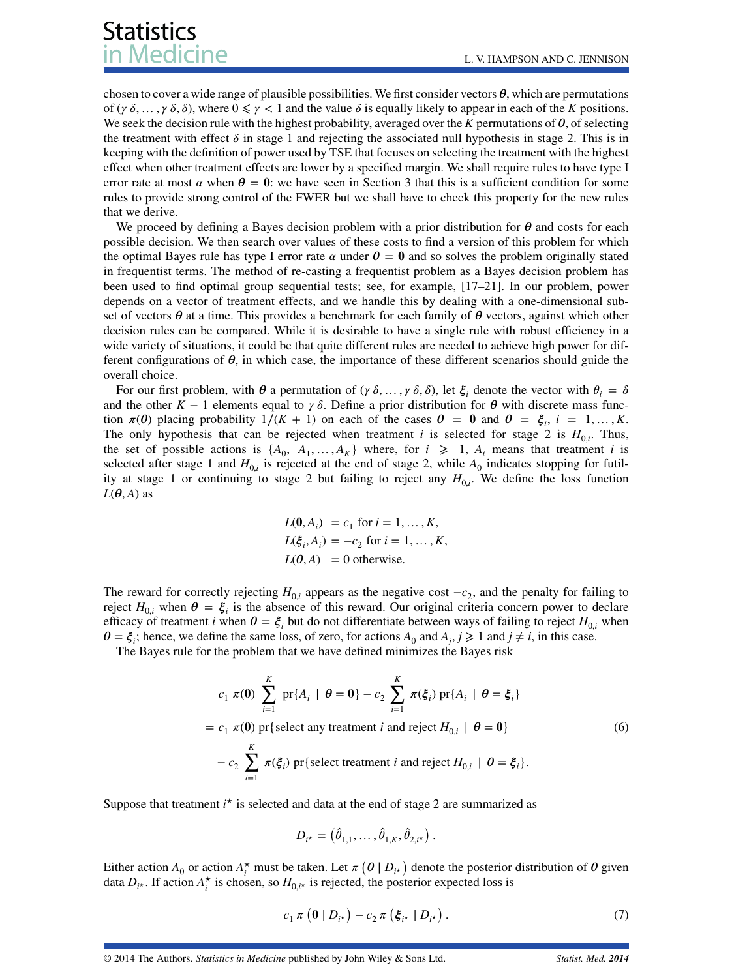chosen to cover a wide range of plausible possibilities. We first consider vectors  $\theta$ , which are permutations of ( $\gamma \delta$ , ...,  $\gamma \delta$ ,  $\delta$ ), where  $0 \le \gamma < 1$  and the value  $\delta$  is equally likely to appear in each of the *K* positions. We seek the decision rule with the highest probability, averaged over the *K* permutations of  $\theta$ , of selecting the treatment with effect  $\delta$  in stage 1 and rejecting the associated null hypothesis in stage 2. This is in keeping with the definition of power used by TSE that focuses on selecting the treatment with the highest effect when other treatment effects are lower by a specified margin. We shall require rules to have type I error rate at most  $\alpha$  when  $\theta = 0$ : we have seen in Section [3](#page-2-0) that this is a sufficient condition for some rules to provide strong control of the FWER but we shall have to check this property for the new rules that we derive.

We proceed by defining a Bayes decision problem with a prior distribution for  $\theta$  and costs for each possible decision. We then search over values of these costs to find a version of this problem for which the optimal Bayes rule has type I error rate  $\alpha$  under  $\theta = 0$  and so solves the problem originally stated in frequentist terms. The method of re-casting a frequentist problem as a Bayes decision problem has been used to find optimal group sequential tests; see, for example, [\[17](#page-18-16)[–21\]](#page-18-17). In our problem, power depends on a vector of treatment effects, and we handle this by dealing with a one-dimensional subset of vectors  $\theta$  at a time. This provides a benchmark for each family of  $\theta$  vectors, against which other decision rules can be compared. While it is desirable to have a single rule with robust efficiency in a wide variety of situations, it could be that quite different rules are needed to achieve high power for different configurations of  $\theta$ , in which case, the importance of these different scenarios should guide the overall choice.

For our first problem, with  $\theta$  a permutation of  $(\gamma \delta, \ldots, \gamma \delta, \delta)$ , let  $\xi$ , denote the vector with  $\theta_i = \delta$ and the other  $K - 1$  elements equal to  $\gamma \delta$ . Define a prior distribution for  $\theta$  with discrete mass function  $\pi(\theta)$  placing probability  $1/(K + 1)$  on each of the cases  $\theta = 0$  and  $\theta = \xi_i$ ,  $i = 1, ..., K$ . The only hypothesis that can be rejected when treatment *i* is selected for stage 2 is  $H_{0,i}$ . Thus, the set of possible actions is  $\{A_0, A_1, \ldots, A_K\}$  where, for  $i \geq 1$ ,  $A_i$  means that treatment *i* is selected after stage 1 and  $H_{0,i}$  is rejected at the end of stage 2, while  $A_0$  indicates stopping for futility at stage 1 or continuing to stage 2 but failing to reject any  $H_{0,i}$ . We define the loss function  $L(\theta, A)$  as

$$
L(\mathbf{0}, A_i) = c_1 \text{ for } i = 1, ..., K,
$$
  
\n
$$
L(\xi_i, A_i) = -c_2 \text{ for } i = 1, ..., K,
$$
  
\n
$$
L(\theta, A) = 0 \text{ otherwise.}
$$

The reward for correctly rejecting  $H_{0,i}$  appears as the negative cost  $-c_2$ , and the penalty for failing to reject  $H_{0,i}$  when  $\theta = \xi_i$  is the absence of this reward. Our original criteria concern power to declare efficacy of treatment *i* when  $\theta = \xi_i$  but do not differentiate between ways of failing to reject  $H_{0,i}$  when  $\theta = \xi_i$ ; hence, we define the same loss, of zero, for actions  $A_0$  and  $A_j$ ,  $j \ge 1$  and  $j \ne i$ , in this case.

The Bayes rule for the problem that we have defined minimizes the Bayes risk

<span id="page-5-0"></span>
$$
c_1 \pi(\mathbf{0}) \sum_{i=1}^K \text{pr}\{A_i \mid \theta = \mathbf{0}\} - c_2 \sum_{i=1}^K \pi(\xi_i) \text{pr}\{A_i \mid \theta = \xi_i\}
$$
  
=  $c_1 \pi(\mathbf{0}) \text{ pr}\{\text{select any treatment } i \text{ and reject } H_{0,i} \mid \theta = \mathbf{0}\}$  (6)  

$$
-c_2 \sum_{i=1}^K \pi(\xi_i) \text{ pr}\{\text{select treatment } i \text{ and reject } H_{0,i} \mid \theta = \xi_i\}.
$$

Suppose that treatment  $i^*$  is selected and data at the end of stage 2 are summarized as

$$
D_{i^*} = (\hat{\theta}_{1,1}, \dots, \hat{\theta}_{1,K}, \hat{\theta}_{2,i^*}).
$$

Either action  $A_0$  or action  $A_i^*$  must be taken. Let  $\pi(\theta | D_i^*)$  denote the posterior distribution of  $\theta$  given data  $D_{i*}$ . If action  $A_i^*$  is chosen, so  $H_{0,i*}$  is rejected, the posterior expected loss is

<span id="page-5-1"></span>
$$
c_1 \pi \left( \mathbf{0} \mid D_{i^*} \right) - c_2 \pi \left( \xi_{i^*} \mid D_{i^*} \right). \tag{7}
$$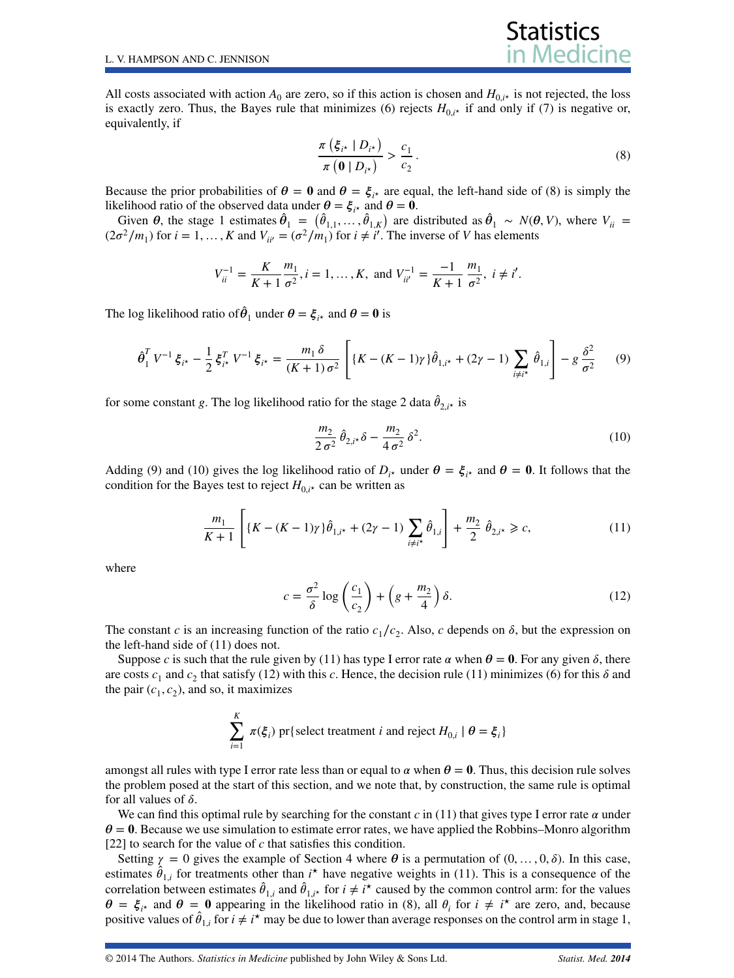All costs associated with action  $A_0$  are zero, so if this action is chosen and  $H_{0,i*}$  is not rejected, the loss is exactly zero. Thus, the Bayes rule that minimizes [\(6\)](#page-5-0) rejects  $H_{0,i*}$  if and only if [\(7\)](#page-5-1) is negative or, equivalently, if

<span id="page-6-0"></span>
$$
\frac{\pi\left(\xi_{i^*} \mid D_{i^*}\right)}{\pi\left(\mathbf{0} \mid D_{i^*}\right)} > \frac{c_1}{c_2} \,. \tag{8}
$$

**Statistics** 

Because the prior probabilities of  $\theta = 0$  and  $\theta = \xi_{i*}$  are equal, the left-hand side of [\(8\)](#page-6-0) is simply the likelihood ratio of the observed data under  $\theta = \xi_{i*}$  and  $\theta = 0$ .

Given  $\theta$ , the stage 1 estimates  $\hat{\theta}_1 = (\hat{\theta}_{1,1}, \dots, \hat{\theta}_{1,K})$  are distributed as  $\hat{\theta}_1 \sim N(\theta, V)$ , where  $V_{ii} =$  $(2\sigma^2/m_1)$  for  $i = 1, ..., K$  and  $V_{ii'} = (\sigma^2/m_1)$  for  $i \neq i'$ . The inverse of *V* has elements

$$
V_{ii}^{-1} = \frac{K}{K+1} \frac{m_1}{\sigma^2}, i = 1, \dots, K, \text{ and } V_{ii'}^{-1} = \frac{-1}{K+1} \frac{m_1}{\sigma^2}, i \neq i'.
$$

The log likelihood ratio of  $\hat{\theta}_1$  under  $\theta = \xi_{i*}$  and  $\theta = 0$  is

<span id="page-6-1"></span>
$$
\hat{\theta}_1^T V^{-1} \xi_{i^*} - \frac{1}{2} \xi_{i^*}^T V^{-1} \xi_{i^*} = \frac{m_1 \delta}{(K+1) \sigma^2} \left[ \{ K - (K-1)\gamma \} \hat{\theta}_{1,i^*} + (2\gamma - 1) \sum_{i \neq i^*} \hat{\theta}_{1,i} \right] - g \frac{\delta^2}{\sigma^2} \tag{9}
$$

for some constant *g*. The log likelihood ratio for the stage 2 data  $\hat{\theta}_{2,i^*}$  is

<span id="page-6-2"></span>
$$
\frac{m_2}{2\,\sigma^2} \,\hat{\theta}_{2,i^*} \delta - \frac{m_2}{4\,\sigma^2} \,\delta^2. \tag{10}
$$

Adding [\(9\)](#page-6-1) and [\(10\)](#page-6-2) gives the log likelihood ratio of  $D_i$ <sub>*i*</sub> under  $\theta = \xi_i$ <sub>*i*</sub> and  $\theta = 0$ . It follows that the condition for the Bayes test to reject  $H_{0,i*}$  can be written as

<span id="page-6-3"></span>
$$
\frac{m_1}{K+1} \left[ \{ K - (K-1)\gamma \} \hat{\theta}_{1,i^*} + (2\gamma - 1) \sum_{i \neq i^*} \hat{\theta}_{1,i} \right] + \frac{m_2}{2} \hat{\theta}_{2,i^*} \ge c,
$$
\n(11)

where

<span id="page-6-4"></span>
$$
c = \frac{\sigma^2}{\delta} \log \left( \frac{c_1}{c_2} \right) + \left( g + \frac{m_2}{4} \right) \delta. \tag{12}
$$

The constant *c* is an increasing function of the ratio  $c_1/c_2$ . Also, *c* depends on  $\delta$ , but the expression on the left-hand side of [\(11\)](#page-6-3) does not.

Suppose *c* is such that the rule given by [\(11\)](#page-6-3) has type I error rate  $\alpha$  when  $\theta = 0$ . For any given  $\delta$ , there are costs  $c_1$  and  $c_2$  that satisfy [\(12\)](#page-6-4) with this *c*. Hence, the decision rule [\(11\)](#page-6-3) minimizes [\(6\)](#page-5-0) for this  $\delta$  and the pair  $(c_1, c_2)$ , and so, it maximizes

$$
\sum_{i=1}^{K} \pi(\xi_i) \text{ pr} \{\text{select treatment } i \text{ and reject } H_{0,i} \mid \theta = \xi_i \}
$$

amongst all rules with type I error rate less than or equal to  $\alpha$  when  $\theta = 0$ . Thus, this decision rule solves the problem posed at the start of this section, and we note that, by construction, the same rule is optimal for all values of  $\delta$ .

We can find this optimal rule by searching for the constant  $c$  in [\(11\)](#page-6-3) that gives type I error rate  $\alpha$  under  $\theta = 0$ . Because we use simulation to estimate error rates, we have applied the Robbins–Monro algorithm [\[22\]](#page-18-18) to search for the value of *c* that satisfies this condition.

Setting  $\gamma = 0$  gives the example of Section [4](#page-3-0) where  $\theta$  is a permutation of  $(0, \ldots, 0, \delta)$ . In this case, estimates  $\hat{\theta}_{1,i}$  for treatments other than  $i^*$  have negative weights in [\(11\)](#page-6-3). This is a consequence of the correlation between estimates  $\hat{\theta}_{1,i}$  and  $\hat{\theta}_{1,i^*}$  for  $i \neq i^*$  caused by the common control arm: for the values  $\theta = \xi_{i*}$  and  $\theta = 0$  appearing in the likelihood ratio in [\(8\)](#page-6-0), all  $\theta_i$  for  $i \neq i^*$  are zero, and, because positive values of  $\hat{\theta}_{1,i}$  for  $i \neq i^*$  may be due to lower than average responses on the control arm in stage 1,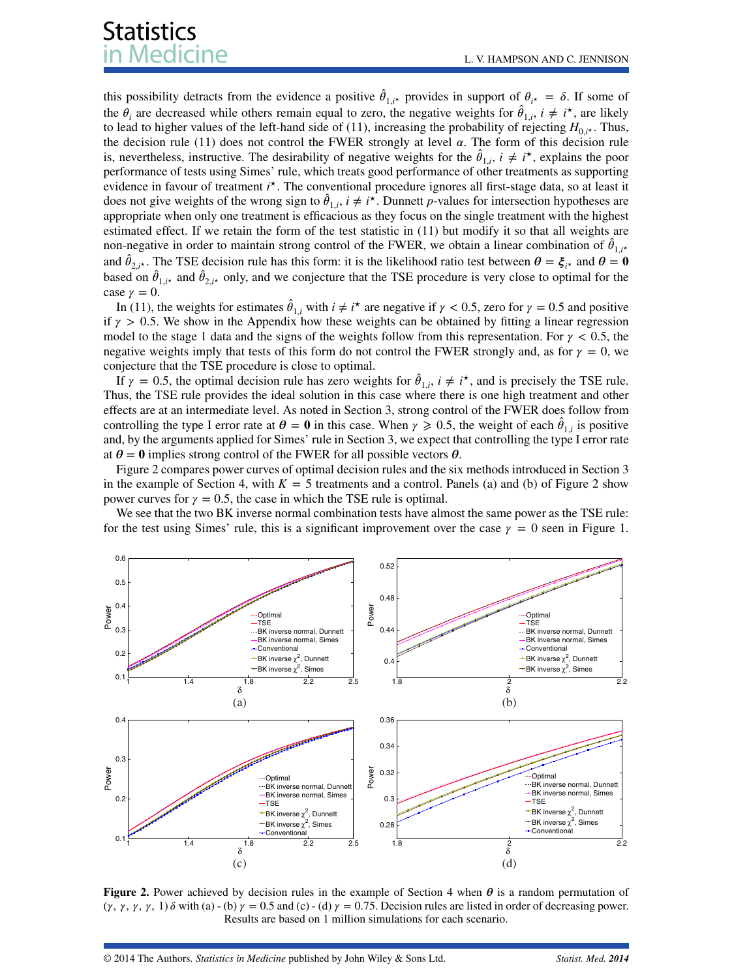this possibility detracts from the evidence a positive  $\hat{\theta}_{1,i^*}$  provides in support of  $\theta_{i^*} = \delta$ . If some of the  $\theta_i$  are decreased while others remain equal to zero, the negative weights for  $\hat{\theta}_{1,i}$ ,  $i \neq i^*$ , are likely to lead to higher values of the left-hand side of [\(11\)](#page-6-3), increasing the probability of rejecting  $H_{0,i\star}$ . Thus, the decision rule [\(11\)](#page-6-3) does not control the FWER strongly at level  $\alpha$ . The form of this decision rule is, nevertheless, instructive. The desirability of negative weights for the  $\hat{\theta}_{1,i}$ ,  $i \neq i^*$ , explains the poor performance of tests using Simes' rule, which treats good performance of other treatments as supporting evidence in favour of treatment *i*<sup>\*</sup>. The conventional procedure ignores all first-stage data, so at least it does not give weights of the wrong sign to  $\hat{\theta}_{1,i}$ ,  $i \neq i^*$ . Dunnett *p*-values for intersection hypotheses are appropriate when only one treatment is efficacious as they focus on the single treatment with the highest estimated effect. If we retain the form of the test statistic in [\(11\)](#page-6-3) but modify it so that all weights are non-negative in order to maintain strong control of the FWER, we obtain a linear combination of  $\hat{\theta}_{1,i^*}$ and  $\hat{\theta}_{2,i^*}$ . The TSE decision rule has this form: it is the likelihood ratio test between  $\theta = \xi_{i^*}$  and  $\theta = 0$ based on  $\hat{\theta}_{1,i^*}$  and  $\hat{\theta}_{2,i^*}$  only, and we conjecture that the TSE procedure is very close to optimal for the case  $\gamma = 0$ .

In [\(11\)](#page-6-3), the weights for estimates  $\hat{\theta}_{1,i}$  with  $i \neq i^*$  are negative if  $\gamma < 0.5$ , zero for  $\gamma = 0.5$  and positive if  $\gamma > 0.5$ . We show in the Appendix how these weights can be obtained by fitting a linear regression model to the stage 1 data and the signs of the weights follow from this representation. For  $\gamma$  < 0.5, the negative weights imply that tests of this form do not control the FWER strongly and, as for  $\gamma = 0$ , we conjecture that the TSE procedure is close to optimal.

If  $\gamma = 0.5$ , the optimal decision rule has zero weights for  $\hat{\theta}_{1,i}$ ,  $i \neq i^*$ , and is precisely the TSE rule. Thus, the TSE rule provides the ideal solution in this case where there is one high treatment and other effects are at an intermediate level. As noted in Section [3,](#page-2-0) strong control of the FWER does follow from controlling the type I error rate at  $\theta = 0$  in this case. When  $\gamma \ge 0.5$ , the weight of each  $\hat{\theta}_{1,i}$  is positive and, by the arguments applied for Simes' rule in Section [3,](#page-2-0) we expect that controlling the type I error rate at  $\theta = 0$  implies strong control of the FWER for all possible vectors  $\theta$ .

Figure [2](#page-7-0) compares power curves of optimal decision rules and the six methods introduced in Section [3](#page-2-0) in the example of Section [4,](#page-3-0) with  $K = 5$  treatments and a control. Panels (a) and (b) of Figure [2](#page-7-0) show power curves for  $\gamma = 0.5$ , the case in which the TSE rule is optimal.

We see that the two BK inverse normal combination tests have almost the same power as the TSE rule: for the test using Simes' rule, this is a significant improvement over the case  $\gamma = 0$  seen in Figure [1.](#page-4-2)



<span id="page-7-0"></span>**Figure 2.** Power achieved by decision rules in the example of Section [4](#page-3-0) when  $\theta$  is a random permutation of  $(\gamma, \gamma, \gamma, \gamma, 1)$   $\delta$  with (a) - (b)  $\gamma = 0.5$  and (c) - (d)  $\gamma = 0.75$ . Decision rules are listed in order of decreasing power. Results are based on 1 million simulations for each scenario.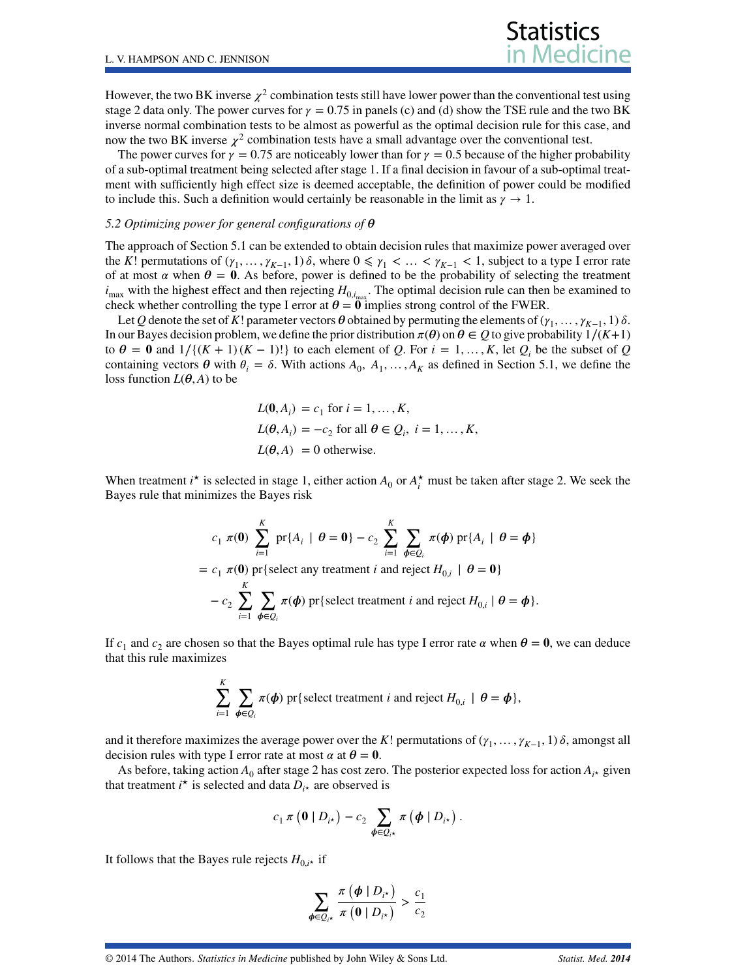However, the two BK inverse  $\chi^2$  combination tests still have lower power than the conventional test using stage 2 data only. The power curves for  $\gamma = 0.75$  in panels (c) and (d) show the TSE rule and the two BK inverse normal combination tests to be almost as powerful as the optimal decision rule for this case, and now the two BK inverse  $\chi^2$  combination tests have a small advantage over the conventional test.

**Statistics** 

The power curves for  $\gamma = 0.75$  are noticeably lower than for  $\gamma = 0.5$  because of the higher probability of a sub-optimal treatment being selected after stage 1. If a final decision in favour of a sub-optimal treatment with sufficiently high effect size is deemed acceptable, the definition of power could be modified to include this. Such a definition would certainly be reasonable in the limit as  $\gamma \to 1$ .

#### *5.2 Optimizing power for general configurations of*

The approach of Section 5.1 can be extended to obtain decision rules that maximize power averaged over the *K*! permutations of  $(\gamma_1, \ldots, \gamma_{K-1}, 1)$   $\delta$ , where  $0 \leq \gamma_1 < \ldots < \gamma_{K-1} < 1$ , subject to a type I error rate of at most  $\alpha$  when  $\theta = 0$ . As before, power is defined to be the probability of selecting the treatment  $i_{\text{max}}$  with the highest effect and then rejecting  $H_{0,i_{\text{max}}}$ . The optimal decision rule can then be examined to check whether controlling the type I error at  $\theta = 0$  implies strong control of the FWER.

Let *Q* denote the set of *K*! parameter vectors  $\theta$  obtained by permuting the elements of ( $\gamma_1, \ldots, \gamma_{K-1}, 1$ )  $\delta$ . In our Bayes decision problem, we define the prior distribution  $\pi(\theta)$  on  $\theta \in Q$  to give probability  $1/(K+1)$ to  $\theta = 0$  and  $1/(K + 1)(K - 1)!$  to each element of *Q*. For  $i = 1, ..., K$ , let *Q<sub>i</sub>* be the subset of *Q* containing vectors  $\theta$  with  $\theta_i = \delta$ . With actions  $A_0, A_1, \ldots, A_K$  as defined in Section 5.1, we define the loss function  $L(\theta, A)$  to be

$$
L(\mathbf{0}, A_i) = c_1 \text{ for } i = 1, ..., K,
$$
  
\n
$$
L(\theta, A_i) = -c_2 \text{ for all } \theta \in Q_i, i = 1, ..., K,
$$
  
\n
$$
L(\theta, A) = 0 \text{ otherwise.}
$$

When treatment  $i^*$  is selected in stage 1, either action  $A_0$  or  $A_i^*$  must be taken after stage 2. We seek the Bayes rule that minimizes the Bayes risk

$$
c_1 \pi(\mathbf{0}) \sum_{i=1}^K \text{pr}\{A_i \mid \theta = \mathbf{0}\} - c_2 \sum_{i=1}^K \sum_{\phi \in \mathcal{Q}_i} \pi(\phi) \text{ pr}\{A_i \mid \theta = \phi\}
$$
  
=  $c_1 \pi(\mathbf{0}) \text{ pr}\{\text{select any treatment } i \text{ and reject } H_{0,i} \mid \theta = \mathbf{0}\}$   
 $- c_2 \sum_{i=1}^K \sum_{\phi \in \mathcal{Q}_i} \pi(\phi) \text{ pr}\{\text{select treatment } i \text{ and reject } H_{0,i} \mid \theta = \phi\}.$ 

If  $c_1$  and  $c_2$  are chosen so that the Bayes optimal rule has type I error rate  $\alpha$  when  $\theta = 0$ , we can deduce that this rule maximizes

$$
\sum_{i=1}^K \sum_{\phi \in \mathcal{Q}_i} \pi(\phi) \text{ pr} \{\text{select treatment } i \text{ and reject } H_{0,i} \mid \theta = \phi \},
$$

and it therefore maximizes the average power over the *K*! permutations of  $(\gamma_1, \ldots, \gamma_{K-1}, 1)$   $\delta$ , amongst all decision rules with type I error rate at most  $\alpha$  at  $\theta = 0$ .

As before, taking action  $A_0$  after stage 2 has cost zero. The posterior expected loss for action  $A_{i*}$  given that treatment  $i^*$  is selected and data  $D_{i^*}$  are observed is

$$
c_1\,\pi\,\big(\mathbf{0}\mid D_{i^*}\big)-c_2\,\sum_{\pmb{\phi}\in Q_{i^*}}\pi\,\big(\pmb{\phi}\mid D_{i^*}\big)\,.
$$

It follows that the Bayes rule rejects  $H_{0,i*}$  if

$$
\sum_{\phi \in \mathcal{Q}_{i^{\star}}} \frac{\pi (\phi \mid D_{i^{\star}})}{\pi (0 \mid D_{i^{\star}})} > \frac{c_1}{c_2}
$$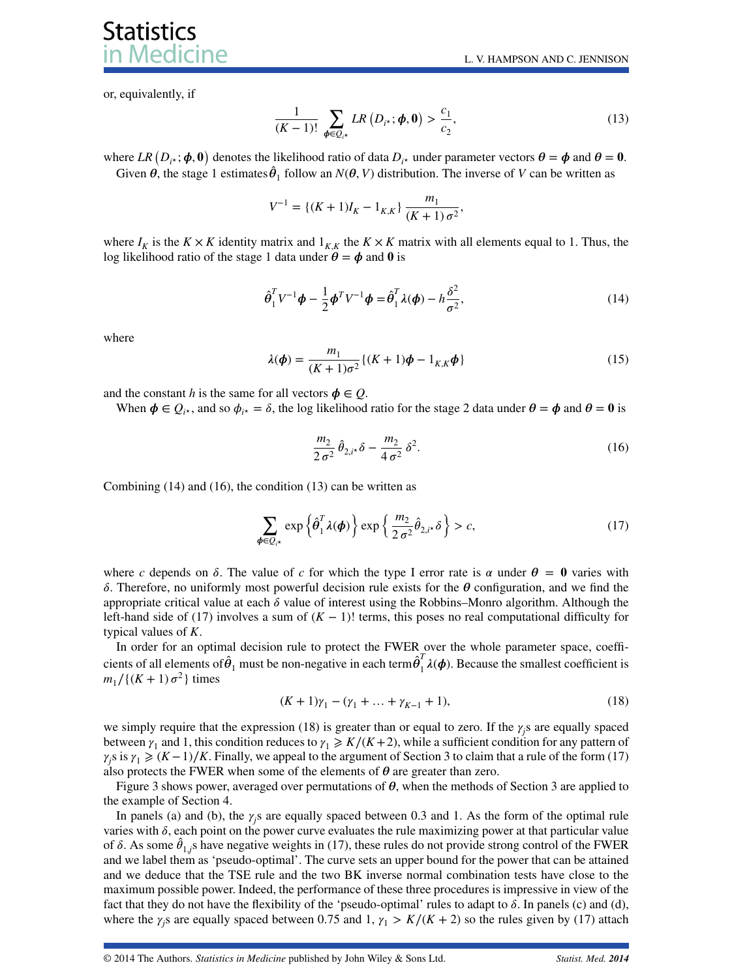or, equivalently, if

**Statistics** 

dicine

<span id="page-9-2"></span>
$$
\frac{1}{(K-1)!} \sum_{\boldsymbol{\phi} \in \mathcal{Q}_{i^*}} LR\left(D_{i^*}; \boldsymbol{\phi}, \mathbf{0}\right) > \frac{c_1}{c_2},\tag{13}
$$

where  $LR(D_{i*}; \phi, 0)$  denotes the likelihood ratio of data  $D_{i*}$  under parameter vectors  $\theta = \phi$  and  $\theta = 0$ . Given  $\theta$ , the stage 1 estimates  $\hat{\theta}_1$  follow an  $N(\theta, V)$  distribution. The inverse of *V* can be written as

$$
V^{-1} = \{(K+1)I_K - 1_{K,K}\}\frac{m_1}{(K+1)\sigma^2},
$$

where  $I_K$  is the  $K \times K$  identity matrix and  $1_{K,K}$  the  $K \times K$  matrix with all elements equal to 1. Thus, the log likelihood ratio of the stage 1 data under  $\theta = \phi$  and 0 is

<span id="page-9-0"></span>
$$
\hat{\boldsymbol{\theta}}_1^T V^{-1} \boldsymbol{\phi} - \frac{1}{2} \boldsymbol{\phi}^T V^{-1} \boldsymbol{\phi} = \hat{\boldsymbol{\theta}}_1^T \lambda(\boldsymbol{\phi}) - h \frac{\delta^2}{\sigma^2},
$$
\n(14)

where

<span id="page-9-5"></span>
$$
\lambda(\phi) = \frac{m_1}{(K+1)\sigma^2} \{ (K+1)\phi - 1_{K,K}\phi \}
$$
 (15)

and the constant *h* is the same for all vectors  $\phi \in Q$ .

When  $\phi \in Q_{i\star}$ , and so  $\phi_{i\star} = \delta$ , the log likelihood ratio for the stage 2 data under  $\theta = \phi$  and  $\theta = 0$  is

<span id="page-9-1"></span>
$$
\frac{m_2}{2\sigma^2} \hat{\theta}_{2,i} \delta - \frac{m_2}{4\sigma^2} \delta^2.
$$
 (16)

Combining [\(14\)](#page-9-0) and [\(16\)](#page-9-1), the condition [\(13\)](#page-9-2) can be written as

<span id="page-9-3"></span>
$$
\sum_{\boldsymbol{\phi}\in\mathcal{Q}_{i^*}} \exp\left\{\hat{\boldsymbol{\theta}}_1^T \boldsymbol{\lambda}(\boldsymbol{\phi})\right\} \exp\left\{\frac{m_2}{2\sigma^2} \hat{\theta}_{2,i^*} \delta\right\} > c,\tag{17}
$$

where *c* depends on  $\delta$ . The value of *c* for which the type I error rate is  $\alpha$  under  $\theta = 0$  varies with  $\delta$ . Therefore, no uniformly most powerful decision rule exists for the  $\theta$  configuration, and we find the appropriate critical value at each  $\delta$  value of interest using the Robbins–Monro algorithm. Although the left-hand side of [\(17\)](#page-9-3) involves a sum of  $(K - 1)!$  terms, this poses no real computational difficulty for typical values of *K*.

In order for an optimal decision rule to protect the FWER over the whole parameter space, coefficients of all elements of  $\hat{\theta}_1$  must be non-negative in each term $\hat{\theta}_1^T \lambda(\phi)$ . Because the smallest coefficient is  $m_1/((K + 1) \sigma^2)$  times

<span id="page-9-4"></span>
$$
(K+1)\gamma_1 - (\gamma_1 + \dots + \gamma_{K-1} + 1),\tag{18}
$$

we simply require that the expression [\(18\)](#page-9-4) is greater than or equal to zero. If the  $\gamma_j$  are equally spaced between  $\gamma_1$  and 1, this condition reduces to  $\gamma_1 \geq K/(K+2)$ , while a sufficient condition for any pattern of  $\gamma_j$ s is  $\gamma_1 \ge (K-1)/K$ . Finally, we appeal to the argument of Section [3](#page-2-0) to claim that a rule of the form [\(17\)](#page-9-3) also protects the FWER when some of the elements of  $\theta$  are greater than zero.

Figure [3](#page-2-0) shows power, averaged over permutations of  $\theta$ , when the methods of Section 3 are applied to the example of Section [4.](#page-3-0)

In panels (a) and (b), the  $\gamma_j$ s are equally spaced between 0.3 and 1. As the form of the optimal rule varies with  $\delta$ , each point on the power curve evaluates the rule maximizing power at that particular value of  $\delta$ . As some  $\hat{\theta}_{1,j}$  have negative weights in [\(17\)](#page-9-3), these rules do not provide strong control of the FWER and we label them as 'pseudo-optimal'. The curve sets an upper bound for the power that can be attained and we deduce that the TSE rule and the two BK inverse normal combination tests have close to the maximum possible power. Indeed, the performance of these three procedures is impressive in view of the fact that they do not have the flexibility of the 'pseudo-optimal' rules to adapt to  $\delta$ . In panels (c) and (d), where the  $\gamma_j$ s are equally spaced between 0.75 and 1,  $\gamma_1 > K/(K + 2)$  so the rules given by [\(17\)](#page-9-3) attach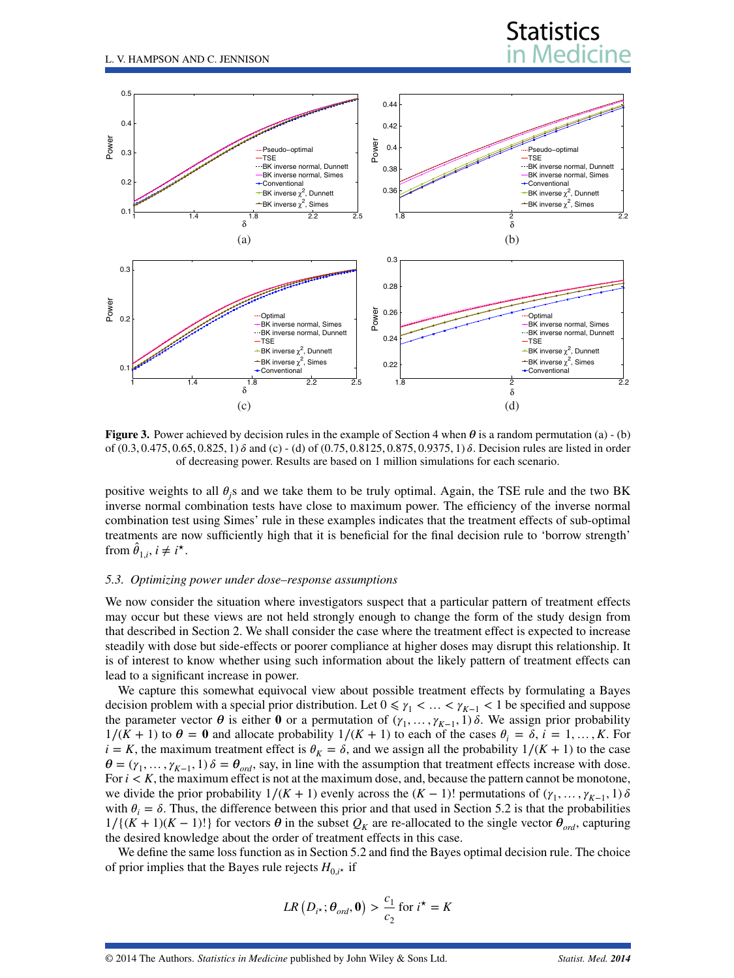

<span id="page-10-1"></span>**Figure 3.** Power achieved by decision rules in the example of Section [4](#page-3-0) when  $\theta$  is a random permutation (a) - (b) of  $(0.3, 0.475, 0.65, 0.825, 1)$   $\delta$  and (c) - (d) of  $(0.75, 0.8125, 0.875, 0.9375, 1)$   $\delta$ . Decision rules are listed in order of decreasing power. Results are based on 1 million simulations for each scenario.

positive weights to all  $\theta_j$ s and we take them to be truly optimal. Again, the TSE rule and the two BK inverse normal combination tests have close to maximum power. The efficiency of the inverse normal combination test using Simes' rule in these examples indicates that the treatment effects of sub-optimal treatments are now sufficiently high that it is beneficial for the final decision rule to 'borrow strength' from  $\hat{\theta}_{1,i}$ ,  $i \neq i^*$ .

#### <span id="page-10-0"></span>*5.3. Optimizing power under dose–response assumptions*

We now consider the situation where investigators suspect that a particular pattern of treatment effects may occur but these views are not held strongly enough to change the form of the study design from that described in Section [2.](#page-1-0) We shall consider the case where the treatment effect is expected to increase steadily with dose but side-effects or poorer compliance at higher doses may disrupt this relationship. It is of interest to know whether using such information about the likely pattern of treatment effects can lead to a significant increase in power.

We capture this somewhat equivocal view about possible treatment effects by formulating a Bayes decision problem with a special prior distribution. Let  $0 \le \gamma_1 < \dots < \gamma_{K-1} < 1$  be specified and suppose the parameter vector  $\theta$  is either  $\theta$  or a permutation of  $(\gamma_1, \ldots, \gamma_{K-1}, 1)$   $\delta$ . We assign prior probability  $1/(K + 1)$  to  $\theta = 0$  and allocate probability  $1/(K + 1)$  to each of the cases  $\theta_i = \delta$ ,  $i = 1, ..., K$ . For *i* = *K*, the maximum treatment effect is  $\theta_K = \delta$ , and we assign all the probability  $1/(K + 1)$  to the case  $\theta = (\gamma_1, \dots, \gamma_{K-1}, 1)$   $\delta = \theta_{ord}$ , say, in line with the assumption that treatment effects increase with dose. For  $i < K$ , the maximum effect is not at the maximum dose, and, because the pattern cannot be monotone, we divide the prior probability  $1/(K + 1)$  evenly across the  $(K - 1)!$  permutations of  $(\gamma_1, \ldots, \gamma_{K-1}, 1)$   $\delta$ with  $\theta_i = \delta$ . Thus, the difference between this prior and that used in Section 5.2 is that the probabilities  $1/(K + 1)(K - 1)!$  for vectors  $\theta$  in the subset  $Q_K$  are re-allocated to the single vector  $\theta_{ord}$ , capturing the desired knowledge about the order of treatment effects in this case.

We define the same loss function as in Section 5.2 and find the Bayes optimal decision rule. The choice of prior implies that the Bayes rule rejects  $H_{0,i*}$  if

$$
LR\left(D_{i^\star};\boldsymbol{\theta}_{ord},\boldsymbol{0}\right) > \frac{c_1}{c_2} \text{ for } i^\star = K
$$

**Statistics**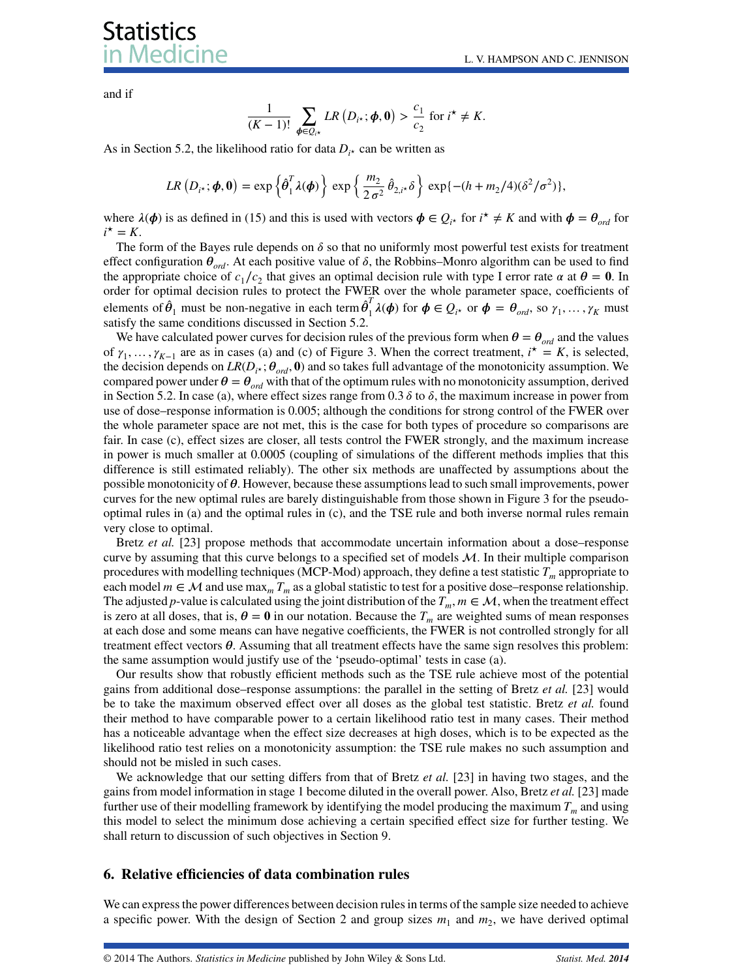# **Statistics** ledicine

and if

$$
\frac{1}{(K-1)!}\sum_{\phi\in Q_{i^{\star}}}LR\left(D_{i^{\star}};\phi,\mathbf{0}\right)>\frac{c_1}{c_2} \text{ for } i^{\star}\neq K.
$$

As in Section 5.2, the likelihood ratio for data  $D_i$ <sup>*\**</sup> can be written as

$$
LR(D_{i^{\star}}; \boldsymbol{\phi}, \mathbf{0}) = \exp\left\{\hat{\boldsymbol{\theta}}_1^T \lambda(\boldsymbol{\phi})\right\} \exp\left\{\frac{m_2}{2 \sigma^2} \hat{\theta}_{2, i^{\star}} \delta\right\} \exp\{-(h + m_2/4)(\delta^2/\sigma^2)\},\
$$

where  $\lambda(\phi)$  is as defined in [\(15\)](#page-9-5) and this is used with vectors  $\phi \in Q_{i^*}$  for  $i^* \neq K$  and with  $\phi = \theta_{ord}$  for  $i^{\star} = K$ .

The form of the Bayes rule depends on  $\delta$  so that no uniformly most powerful test exists for treatment effect configuration  $\theta_{ord}$ . At each positive value of  $\delta$ , the Robbins–Monro algorithm can be used to find the appropriate choice of  $c_1/c_2$  that gives an optimal decision rule with type I error rate  $\alpha$  at  $\theta = 0$ . In order for optimal decision rules to protect the FWER over the whole parameter space, coefficients of elements of  $\hat{\theta}_1$  must be non-negative in each term  $\hat{\theta}_1^T \lambda(\phi)$  for  $\phi \in Q_i$ <sup>*n*</sup> or  $\phi = \theta_{ord}$ , so  $\gamma_1, \dots, \gamma_K$  must satisfy the same conditions discussed in Section 5.2.

We have calculated power curves for decision rules of the previous form when  $\theta = \theta_{ord}$  and the values of  $\gamma_1, \ldots, \gamma_{K-1}$  are as in cases (a) and (c) of Figure [3.](#page-10-1) When the correct treatment,  $i^* = K$ , is selected, the decision depends on  $LR(D_i, \mathcal{O}_{ord}, 0)$  and so takes full advantage of the monotonicity assumption. We compared power under  $\theta = \theta_{ord}$  with that of the optimum rules with no monotonicity assumption, derived in Section 5.2. In case (a), where effect sizes range from  $0.3 \delta$  to  $\delta$ , the maximum increase in power from use of dose–response information is 0.005; although the conditions for strong control of the FWER over the whole parameter space are not met, this is the case for both types of procedure so comparisons are fair. In case (c), effect sizes are closer, all tests control the FWER strongly, and the maximum increase in power is much smaller at 0.0005 (coupling of simulations of the different methods implies that this difference is still estimated reliably). The other six methods are unaffected by assumptions about the possible monotonicity of  $\theta$ . However, because these assumptions lead to such small improvements, power curves for the new optimal rules are barely distinguishable from those shown in Figure [3](#page-10-1) for the pseudooptimal rules in (a) and the optimal rules in (c), and the TSE rule and both inverse normal rules remain very close to optimal.

Bretz *et al.* [\[23\]](#page-18-19) propose methods that accommodate uncertain information about a dose–response curve by assuming that this curve belongs to a specified set of models  $M$ . In their multiple comparison procedures with modelling techniques (MCP-Mod) approach, they define a test statistic  $T_m$  appropriate to each model  $m \in \mathcal{M}$  and use max<sub>*m*</sub>  $T_m$  as a global statistic to test for a positive dose–response relationship. The adjusted *p*-value is calculated using the joint distribution of the  $T_m$ ,  $m \in \mathcal{M}$ , when the treatment effect is zero at all doses, that is,  $\theta = 0$  in our notation. Because the  $T_m$  are weighted sums of mean responses at each dose and some means can have negative coefficients, the FWER is not controlled strongly for all treatment effect vectors  $\theta$ . Assuming that all treatment effects have the same sign resolves this problem: the same assumption would justify use of the 'pseudo-optimal' tests in case (a).

Our results show that robustly efficient methods such as the TSE rule achieve most of the potential gains from additional dose–response assumptions: the parallel in the setting of Bretz *et al.* [\[23\]](#page-18-19) would be to take the maximum observed effect over all doses as the global test statistic. Bretz *et al.* found their method to have comparable power to a certain likelihood ratio test in many cases. Their method has a noticeable advantage when the effect size decreases at high doses, which is to be expected as the likelihood ratio test relies on a monotonicity assumption: the TSE rule makes no such assumption and should not be misled in such cases.

We acknowledge that our setting differs from that of Bretz *et al.* [\[23\]](#page-18-19) in having two stages, and the gains from model information in stage 1 become diluted in the overall power. Also, Bretz *et al.* [\[23\]](#page-18-19) made further use of their modelling framework by identifying the model producing the maximum  $T_m$  and using this model to select the minimum dose achieving a certain specified effect size for further testing. We shall return to discussion of such objectives in Section [9.](#page-16-0)

#### <span id="page-11-0"></span>**6. Relative efficiencies of data combination rules**

We can express the power differences between decision rules in terms of the sample size needed to achieve a specific power. With the design of Section [2](#page-1-0) and group sizes  $m_1$  and  $m_2$ , we have derived optimal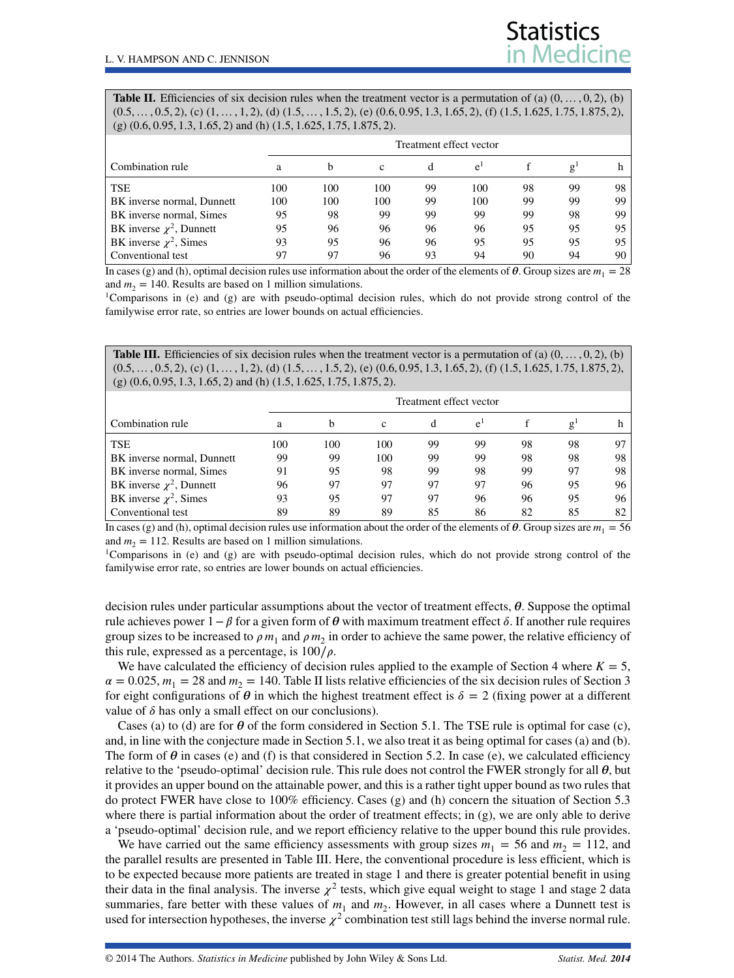<span id="page-12-0"></span>**Table II.** Efficiencies of six decision rules when the treatment vector is a permutation of (a)  $(0, \ldots, 0, 2)$ , (b)  $(0.5, \ldots, 0.5, 2),$  (c)  $(1, \ldots, 1, 2),$  (d)  $(1.5, \ldots, 1.5, 2),$  (e)  $(0.6, 0.95, 1.3, 1.65, 2),$  (f)  $(1.5, 1.625, 1.75, 1.875, 2),$ (g) (0*.*6*,* 0*.*95*,* 1*.*3*,* 1*.*65*,* 2) and (h) (1*.*5*,* 1*.*625*,* 1*.*75*,* 1*.*875*,* 2).

|                               | Treatment effect vector |     |     |    |       |    |    |                 |
|-------------------------------|-------------------------|-----|-----|----|-------|----|----|-----------------|
| Combination rule              | a                       | b   | c   | đ  | $e^i$ |    |    |                 |
| <b>TSE</b>                    | 100                     | 100 | 100 | 99 | 100   | 98 | 99 | 98.             |
| BK inverse normal, Dunnett    | 100                     | 100 | 100 | 99 | 100   | 99 | 99 | 99              |
| BK inverse normal, Simes      | 95                      | 98  | 99  | 99 | 99    | 99 | 98 | 99 <sub>1</sub> |
| BK inverse $\chi^2$ , Dunnett | 95                      | 96  | 96  | 96 | 96    | 95 | 95 | $95 \mid$       |
| BK inverse $\chi^2$ , Simes   | 93                      | 95  | 96  | 96 | 95    | 95 | 95 | $95 \mid$       |
| Conventional test             | 97                      | 97  | 96  | 93 | 94    | 90 | 94 | 90 l            |

In cases (g) and (h), optimal decision rules use information about the order of the elements of  $\theta$ . Group sizes are  $m_1 = 28$  and  $m_2 = 140$ . Results are based on 1 million simulations.

<sup>1</sup> Comparisons in (e) and (g) are with pseudo-optimal decision rules, which do not provide strong control of the familywise error rate, so entries are lower bounds on actual efficiencies.

<span id="page-12-1"></span>**Table III.** Efficiencies of six decision rules when the treatment vector is a permutation of (a)  $(0, \ldots, 0, 2)$ , (b)  $(0.5, \ldots, 0.5, 2),$  (c)  $(1, \ldots, 1, 2),$  (d)  $(1.5, \ldots, 1.5, 2),$  (e)  $(0.6, 0.95, 1.3, 1.65, 2),$  (f)  $(1.5, 1.625, 1.75, 1.875, 2),$ (g) (0*.*6*,* 0*.*95*,* 1*.*3*,* 1*.*65*,* 2) and (h) (1*.*5*,* 1*.*625*,* 1*.*75*,* 1*.*875*,* 2).

|                               |     |         |              | Treatment effect vector |                |           |                |                 |
|-------------------------------|-----|---------|--------------|-------------------------|----------------|-----------|----------------|-----------------|
| Combination rule              | a   | h       | $\mathbf{c}$ | đ                       | e <sup>1</sup> |           | g <sup>T</sup> |                 |
| <b>TSE</b>                    | 100 | 100     | 100          | 99                      | 99             | 98        | 98             |                 |
| BK inverse normal, Dunnett    | 99  | 99      | 100          | 99                      | 99             | 98        | 98             | 98.             |
| BK inverse normal, Simes      | 91  | 95      | 98           | 99                      | 98             | 99        | 97             | 98              |
| BK inverse $\chi^2$ , Dunnett | 96  | 97      | 97           | 97                      | 97             | 96        | 95             | 96 <sub>1</sub> |
| BK inverse $\chi^2$ , Simes   | 93  | 95      | 97           | 97                      | 96             | 96        | 95             | 96 <sub>1</sub> |
| Conventional test<br>.        | 89  | 89<br>. | 89           | 85<br>.                 | 86<br>___      | 82<br>--- | 85             | 82              |

In cases (g) and (h), optimal decision rules use information about the order of the elements of  $\theta$ . Group sizes are  $m_1 = 56$  and  $m_2 = 112$ . Results are based on 1 million simulations.

<sup>1</sup> Comparisons in (e) and (g) are with pseudo-optimal decision rules, which do not provide strong control of the familywise error rate, so entries are lower bounds on actual efficiencies.

decision rules under particular assumptions about the vector of treatment effects,  $\theta$ . Suppose the optimal rule achieves power  $1-\beta$  for a given form of  $\theta$  with maximum treatment effect  $\delta$ . If another rule requires group sizes to be increased to  $\rho m_1$  and  $\rho m_2$  in order to achieve the same power, the relative efficiency of this rule, expressed as a percentage, is  $100/\rho$ .

We have calculated the efficiency of decision rules applied to the example of Section [4](#page-3-0) where  $K = 5$ ,  $\alpha = 0.025$ ,  $m_1 = 28$  and  $m_2 = 140$ . Table [II](#page-12-0) lists relative efficiencies of the six decision rules of Section [3](#page-2-0) for eight configurations of  $\theta$  in which the highest treatment effect is  $\delta = 2$  (fixing power at a different value of  $\delta$  has only a small effect on our conclusions).

Cases (a) to (d) are for  $\theta$  of the form considered in Section 5.1. The TSE rule is optimal for case (c), and, in line with the conjecture made in Section 5.1, we also treat it as being optimal for cases (a) and (b). The form of  $\theta$  in cases (e) and (f) is that considered in Section 5.2. In case (e), we calculated efficiency relative to the 'pseudo-optimal' decision rule. This rule does not control the FWER strongly for all  $\theta$ , but it provides an upper bound on the attainable power, and this is a rather tight upper bound as two rules that do protect FWER have close to 100% efficiency. Cases (g) and (h) concern the situation of Section [5.3](#page-10-0) where there is partial information about the order of treatment effects; in  $(g)$ , we are only able to derive a 'pseudo-optimal' decision rule, and we report efficiency relative to the upper bound this rule provides.

We have carried out the same efficiency assessments with group sizes  $m_1 = 56$  and  $m_2 = 112$ , and the parallel results are presented in Table [III.](#page-12-1) Here, the conventional procedure is less efficient, which is to be expected because more patients are treated in stage 1 and there is greater potential benefit in using their data in the final analysis. The inverse  $\chi^2$  tests, which give equal weight to stage 1 and stage 2 data summaries, fare better with these values of  $m_1$  and  $m_2$ . However, in all cases where a Dunnett test is used for intersection hypotheses, the inverse  $\chi^2$  combination test still lags behind the inverse normal rule.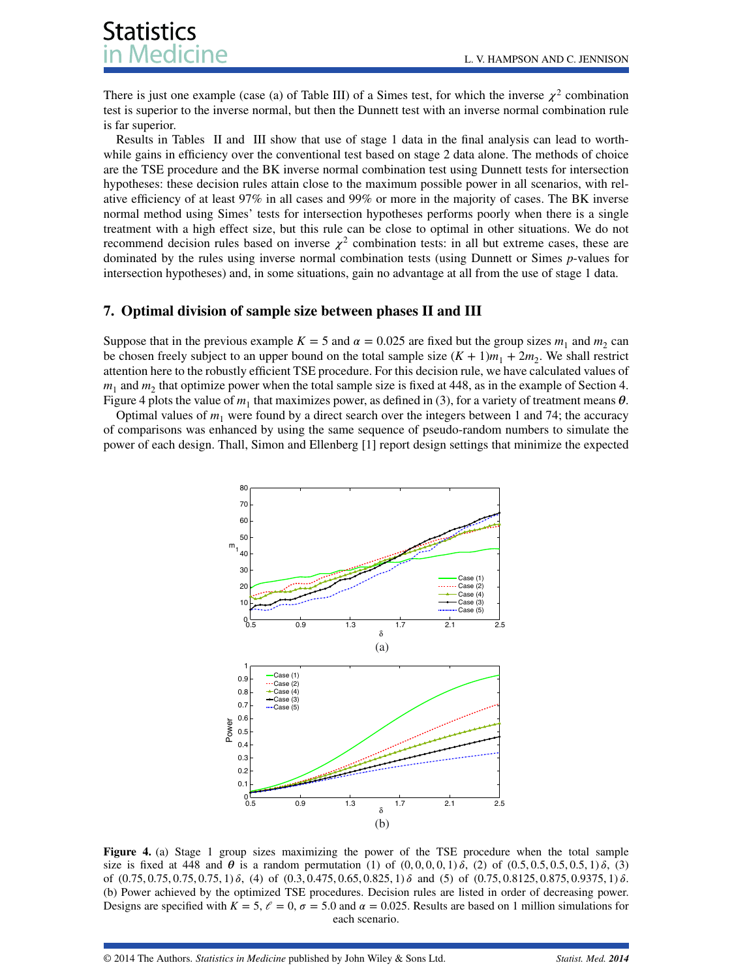# **Statistics** ledicine

There is just one example (case (a) of Table [III\)](#page-12-1) of a Simes test, for which the inverse  $\chi^2$  combination test is superior to the inverse normal, but then the Dunnett test with an inverse normal combination rule is far superior.

Results in Tables [II](#page-12-0) and [III](#page-12-1) show that use of stage 1 data in the final analysis can lead to worthwhile gains in efficiency over the conventional test based on stage 2 data alone. The methods of choice are the TSE procedure and the BK inverse normal combination test using Dunnett tests for intersection hypotheses: these decision rules attain close to the maximum possible power in all scenarios, with relative efficiency of at least 97% in all cases and 99% or more in the majority of cases. The BK inverse normal method using Simes' tests for intersection hypotheses performs poorly when there is a single treatment with a high effect size, but this rule can be close to optimal in other situations. We do not recommend decision rules based on inverse  $\chi^2$  combination tests: in all but extreme cases, these are dominated by the rules using inverse normal combination tests (using Dunnett or Simes *p*-values for intersection hypotheses) and, in some situations, gain no advantage at all from the use of stage 1 data.

### <span id="page-13-0"></span>**7. Optimal division of sample size between phases II and III**

Suppose that in the previous example  $K = 5$  and  $\alpha = 0.025$  are fixed but the group sizes  $m_1$  and  $m_2$  can be chosen freely subject to an upper bound on the total sample size  $(K + 1)m_1 + 2m_2$ . We shall restrict attention here to the robustly efficient TSE procedure. For this decision rule, we have calculated values of  $m_1$  and  $m_2$  that optimize power when the total sample size is fixed at 448, as in the example of Section [4.](#page-3-0) Figure [4](#page-13-1) plots the value of  $m_1$  that maximizes power, as defined in [\(3\)](#page-2-1), for a variety of treatment means  $\theta$ .

Optimal values of  $m_1$  were found by a direct search over the integers between 1 and 74; the accuracy of comparisons was enhanced by using the same sequence of pseudo-random numbers to simulate the power of each design. Thall, Simon and Ellenberg [\[1\]](#page-18-0) report design settings that minimize the expected



<span id="page-13-1"></span>**Figure 4.** (a) Stage 1 group sizes maximizing the power of the TSE procedure when the total sample size is fixed at 448 and  $\theta$  is a random permutation (1) of  $(0, 0, 0, 0, 1)$   $\delta$ , (2) of  $(0.5, 0.5, 0.5, 0.5, 1)$   $\delta$ , (3) of  $(0.75, 0.75, 0.75, 0.75, 1)$   $\delta$ , (4) of  $(0.3, 0.475, 0.65, 0.825, 1)$   $\delta$  and (5) of  $(0.75, 0.8125, 0.875, 0.9375, 1)$   $\delta$ . (b) Power achieved by the optimized TSE procedures. Decision rules are listed in order of decreasing power. Designs are specified with  $K = 5$ ,  $\ell = 0$ ,  $\sigma = 5.0$  and  $\alpha = 0.025$ . Results are based on 1 million simulations for each scenario.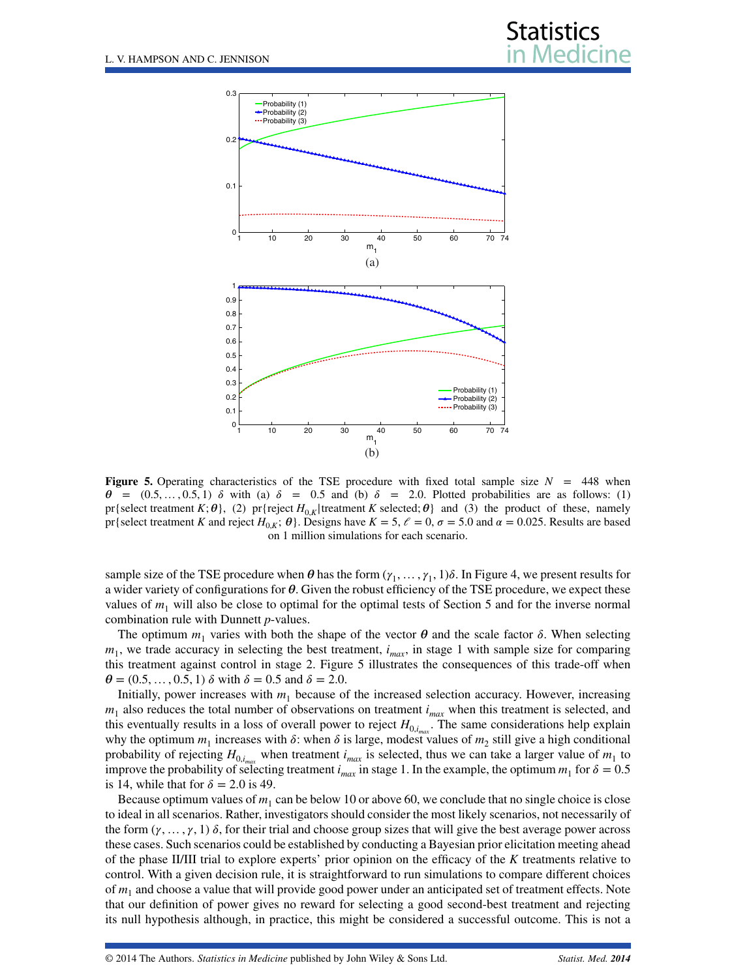

<span id="page-14-0"></span>**Figure 5.** Operating characteristics of the TSE procedure with fixed total sample size  $N = 448$  when  $\theta = (0.5, \ldots, 0.5, 1)$   $\delta$  with (a)  $\delta = 0.5$  and (b)  $\delta = 2.0$ . Plotted probabilities are as follows: (1) pr{select treatment  $K$ ;  $\theta$ }, (2) pr{reject  $H_{0,K}$ |treatment  $K$  selected;  $\theta$ } and (3) the product of these, namely pr{select treatment *K* and reject  $H_{0,K}$ ;  $\theta$ }. Designs have  $K = 5$ ,  $\ell = 0$ ,  $\sigma = 5.0$  and  $\alpha = 0.025$ . Results are based on 1 million simulations for each scenario.

sample size of the TSE procedure when  $\theta$  has the form  $(\gamma_1, \ldots, \gamma_1, 1)\delta$ . In Figure [4,](#page-13-1) we present results for a wider variety of configurations for  $\theta$ . Given the robust efficiency of the TSE procedure, we expect these values of  $m_1$  will also be close to optimal for the optimal tests of Section [5](#page-4-0) and for the inverse normal combination rule with Dunnett *p*-values.

The optimum  $m_1$  varies with both the shape of the vector  $\theta$  and the scale factor  $\delta$ . When selecting  $m_1$ , we trade accuracy in selecting the best treatment,  $i_{max}$ , in stage 1 with sample size for comparing this treatment against control in stage 2. Figure [5](#page-14-0) illustrates the consequences of this trade-off when  $\theta = (0.5, \ldots, 0.5, 1)$   $\delta$  with  $\delta = 0.5$  and  $\delta = 2.0$ .

Initially, power increases with  $m_1$  because of the increased selection accuracy. However, increasing  $m_1$  also reduces the total number of observations on treatment  $i_{max}$  when this treatment is selected, and this eventually results in a loss of overall power to reject  $H_{0,i_{max}}$ . The same considerations help explain why the optimum  $m_1$  increases with  $\delta$ : when  $\delta$  is large, modest values of  $m_2$  still give a high conditional probability of rejecting  $H_{0,i_{max}}$  when treatment  $i_{max}$  is selected, thus we can take a larger value of  $m_1$  to improve the probability of selecting treatment  $i_{max}$  in stage 1. In the example, the optimum  $m_1$  for  $\delta = 0.5$ is 14, while that for  $\delta = 2.0$  is 49.

Because optimum values of  $m_1$  can be below 10 or above 60, we conclude that no single choice is close to ideal in all scenarios. Rather, investigators should consider the most likely scenarios, not necessarily of the form  $(\gamma, \ldots, \gamma, 1)$   $\delta$ , for their trial and choose group sizes that will give the best average power across these cases. Such scenarios could be established by conducting a Bayesian prior elicitation meeting ahead of the phase II/III trial to explore experts' prior opinion on the efficacy of the *K* treatments relative to control. With a given decision rule, it is straightforward to run simulations to compare different choices of  $m_1$  and choose a value that will provide good power under an anticipated set of treatment effects. Note that our definition of power gives no reward for selecting a good second-best treatment and rejecting its null hypothesis although, in practice, this might be considered a successful outcome. This is not a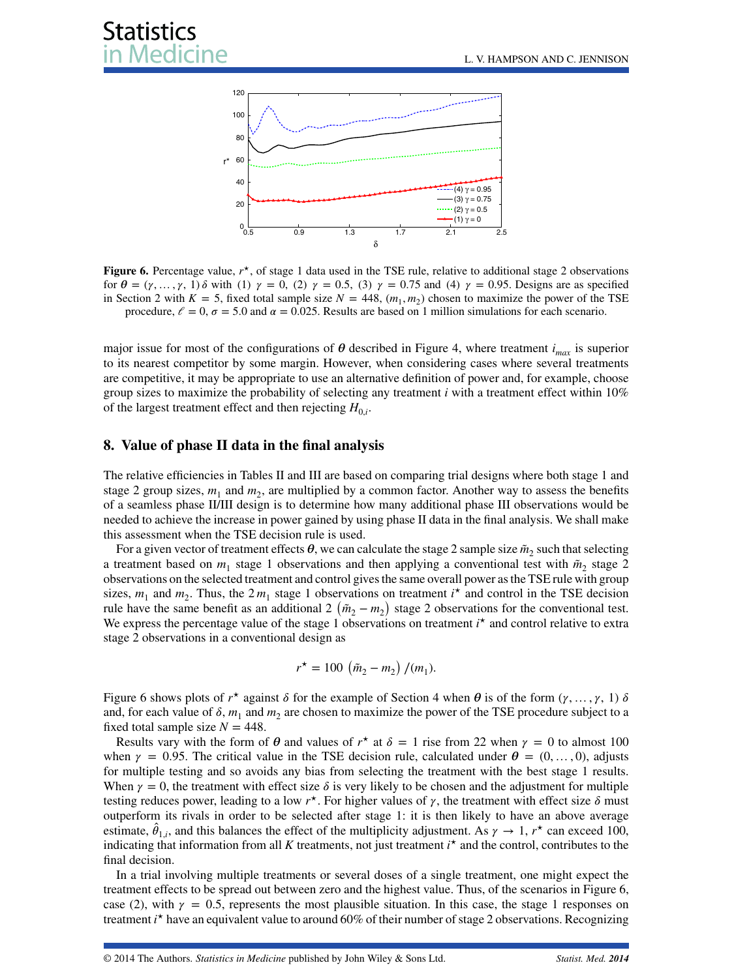

<span id="page-15-1"></span>**Figure 6.** Percentage value,  $r^*$ , of stage 1 data used in the TSE rule, relative to additional stage 2 observations for  $\theta = (\gamma, \dots, \gamma, 1)$   $\delta$  with (1)  $\gamma = 0$ , (2)  $\gamma = 0.5$ , (3)  $\gamma = 0.75$  and (4)  $\gamma = 0.95$ . Designs are as specified in Section [2](#page-1-0) with  $K = 5$ , fixed total sample size  $N = 448$ ,  $(m_1, m_2)$  chosen to maximize the power of the TSE procedure,  $\ell = 0$ ,  $\sigma = 5.0$  and  $\alpha = 0.025$ . Results are based on 1 million simulations for each scenario.

major issue for most of the configurations of  $\theta$  described in Figure [4,](#page-13-1) where treatment *i<sub>max</sub>* is superior to its nearest competitor by some margin. However, when considering cases where several treatments are competitive, it may be appropriate to use an alternative definition of power and, for example, choose group sizes to maximize the probability of selecting any treatment *i* with a treatment effect within 10% of the largest treatment effect and then rejecting  $H_{0,i}$ .

#### <span id="page-15-0"></span>**8. Value of phase II data in the final analysis**

The relative efficiencies in Tables [II](#page-12-0) and [III](#page-12-1) are based on comparing trial designs where both stage 1 and stage 2 group sizes,  $m_1$  and  $m_2$ , are multiplied by a common factor. Another way to assess the benefits of a seamless phase II/III design is to determine how many additional phase III observations would be needed to achieve the increase in power gained by using phase II data in the final analysis. We shall make this assessment when the TSE decision rule is used.

For a given vector of treatment effects  $\theta$ , we can calculate the stage 2 sample size  $\tilde{m}_2$  such that selecting a treatment based on  $m_1$  stage 1 observations and then applying a conventional test with  $\tilde{m}_2$  stage 2 observations on the selected treatment and control gives the same overall power as the TSE rule with group sizes,  $m_1$  and  $m_2$ . Thus, the  $2m_1$  stage 1 observations on treatment  $i^*$  and control in the TSE decision rule have the same benefit as an additional 2  $(\tilde{m}_2 - m_2)$  stage 2 observations for the conventional test. We express the percentage value of the stage 1 observations on treatment  $i^*$  and control relative to extra stage 2 observations in a conventional design as

$$
r^{\star} = 100 \left( \tilde{m}_2 - m_2 \right) / (m_1).
$$

Figure [6](#page-15-1) shows plots of  $r^*$  against  $\delta$  for the example of Section [4](#page-3-0) when  $\theta$  is of the form  $(\gamma, \ldots, \gamma, 1)$   $\delta$ and, for each value of  $\delta$ ,  $m_1$  and  $m_2$  are chosen to maximize the power of the TSE procedure subject to a fixed total sample size  $N = 448$ .

Results vary with the form of  $\theta$  and values of  $r^*$  at  $\delta = 1$  rise from 22 when  $\gamma = 0$  to almost 100 when  $\gamma = 0.95$ . The critical value in the TSE decision rule, calculated under  $\theta = (0, \ldots, 0)$ , adjusts for multiple testing and so avoids any bias from selecting the treatment with the best stage 1 results. When  $\gamma = 0$ , the treatment with effect size  $\delta$  is very likely to be chosen and the adjustment for multiple testing reduces power, leading to a low  $r<sup>*</sup>$ . For higher values of  $\gamma$ , the treatment with effect size  $\delta$  must outperform its rivals in order to be selected after stage 1: it is then likely to have an above average estimate,  $\hat{\theta}_{1,i}$ , and this balances the effect of the multiplicity adjustment. As  $\gamma \to 1$ ,  $r^*$  can exceed 100, indicating that information from all *K* treatments, not just treatment *i <sup>⋆</sup>* and the control, contributes to the final decision.

In a trial involving multiple treatments or several doses of a single treatment, one might expect the treatment effects to be spread out between zero and the highest value. Thus, of the scenarios in Figure [6,](#page-15-1) case (2), with  $\gamma = 0.5$ , represents the most plausible situation. In this case, the stage 1 responses on treatment *i*<sup>\*</sup> have an equivalent value to around 60% of their number of stage 2 observations. Recognizing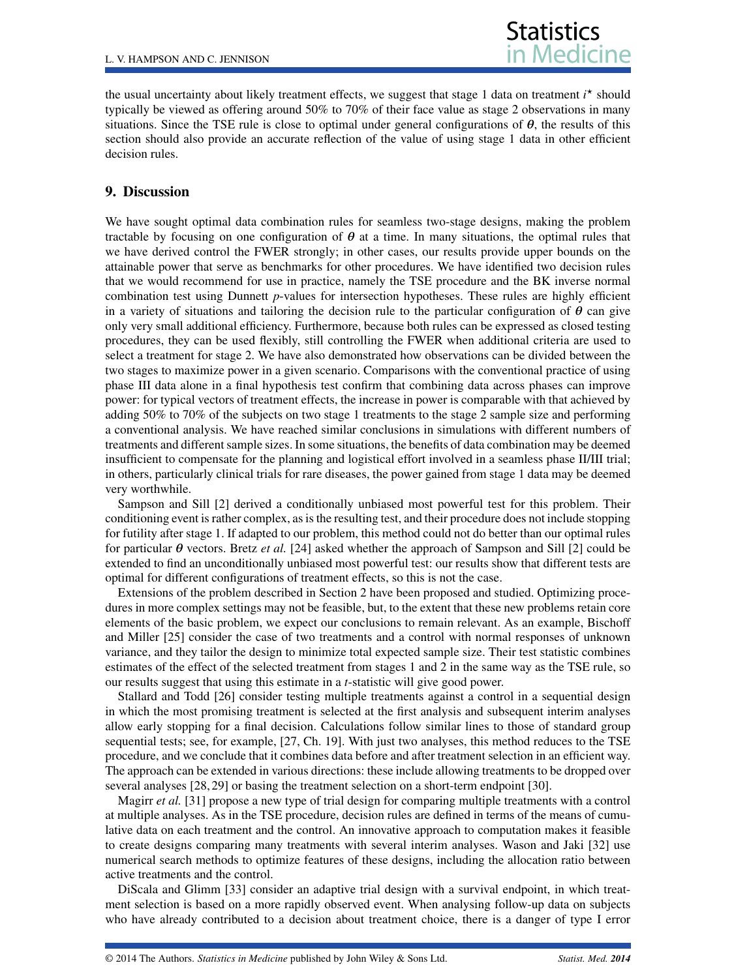the usual uncertainty about likely treatment effects, we suggest that stage 1 data on treatment *i <sup>⋆</sup>* should typically be viewed as offering around 50% to 70% of their face value as stage 2 observations in many situations. Since the TSE rule is close to optimal under general configurations of  $\theta$ , the results of this section should also provide an accurate reflection of the value of using stage 1 data in other efficient decision rules.

### <span id="page-16-0"></span>**9. Discussion**

We have sought optimal data combination rules for seamless two-stage designs, making the problem tractable by focusing on one configuration of  $\theta$  at a time. In many situations, the optimal rules that we have derived control the FWER strongly; in other cases, our results provide upper bounds on the attainable power that serve as benchmarks for other procedures. We have identified two decision rules that we would recommend for use in practice, namely the TSE procedure and the BK inverse normal combination test using Dunnett *p*-values for intersection hypotheses. These rules are highly efficient in a variety of situations and tailoring the decision rule to the particular configuration of  $\theta$  can give only very small additional efficiency. Furthermore, because both rules can be expressed as closed testing procedures, they can be used flexibly, still controlling the FWER when additional criteria are used to select a treatment for stage 2. We have also demonstrated how observations can be divided between the two stages to maximize power in a given scenario. Comparisons with the conventional practice of using phase III data alone in a final hypothesis test confirm that combining data across phases can improve power: for typical vectors of treatment effects, the increase in power is comparable with that achieved by adding 50% to 70% of the subjects on two stage 1 treatments to the stage 2 sample size and performing a conventional analysis. We have reached similar conclusions in simulations with different numbers of treatments and different sample sizes. In some situations, the benefits of data combination may be deemed insufficient to compensate for the planning and logistical effort involved in a seamless phase II/III trial; in others, particularly clinical trials for rare diseases, the power gained from stage 1 data may be deemed very worthwhile.

Sampson and Sill [\[2\]](#page-18-1) derived a conditionally unbiased most powerful test for this problem. Their conditioning event is rather complex, as is the resulting test, and their procedure does not include stopping for futility after stage 1. If adapted to our problem, this method could not do better than our optimal rules for particular  $\theta$  vectors. Bretz *et al.* [\[24\]](#page-18-20) asked whether the approach of Sampson and Sill [\[2\]](#page-18-1) could be extended to find an unconditionally unbiased most powerful test: our results show that different tests are optimal for different configurations of treatment effects, so this is not the case.

Extensions of the problem described in Section [2](#page-1-0) have been proposed and studied. Optimizing procedures in more complex settings may not be feasible, but, to the extent that these new problems retain core elements of the basic problem, we expect our conclusions to remain relevant. As an example, Bischoff and Miller [\[25\]](#page-18-21) consider the case of two treatments and a control with normal responses of unknown variance, and they tailor the design to minimize total expected sample size. Their test statistic combines estimates of the effect of the selected treatment from stages 1 and 2 in the same way as the TSE rule, so our results suggest that using this estimate in a *t*-statistic will give good power.

Stallard and Todd [\[26\]](#page-18-22) consider testing multiple treatments against a control in a sequential design in which the most promising treatment is selected at the first analysis and subsequent interim analyses allow early stopping for a final decision. Calculations follow similar lines to those of standard group sequential tests; see, for example, [\[27,](#page-18-23) Ch. 19]. With just two analyses, this method reduces to the TSE procedure, and we conclude that it combines data before and after treatment selection in an efficient way. The approach can be extended in various directions: these include allowing treatments to be dropped over several analyses [\[28,](#page-18-24) [29\]](#page-18-25) or basing the treatment selection on a short-term endpoint [\[30\]](#page-19-0).

Magirr *et al.* [\[31\]](#page-19-1) propose a new type of trial design for comparing multiple treatments with a control at multiple analyses. As in the TSE procedure, decision rules are defined in terms of the means of cumulative data on each treatment and the control. An innovative approach to computation makes it feasible to create designs comparing many treatments with several interim analyses. Wason and Jaki [\[32\]](#page-19-2) use numerical search methods to optimize features of these designs, including the allocation ratio between active treatments and the control.

DiScala and Glimm [\[33\]](#page-19-3) consider an adaptive trial design with a survival endpoint, in which treatment selection is based on a more rapidly observed event. When analysing follow-up data on subjects who have already contributed to a decision about treatment choice, there is a danger of type I error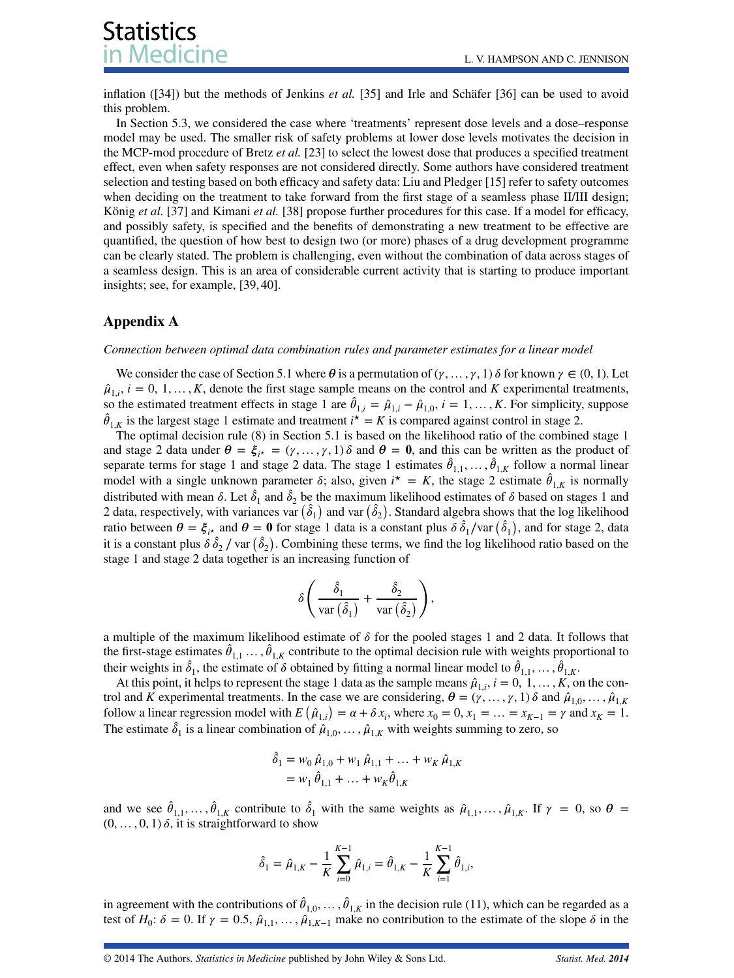**Statistics** edicine

inflation ([\[34\]](#page-19-4)) but the methods of Jenkins *et al.* [\[35\]](#page-19-5) and Irle and Schäfer [\[36\]](#page-19-6) can be used to avoid this problem.

In Section [5.3,](#page-10-0) we considered the case where 'treatments' represent dose levels and a dose–response model may be used. The smaller risk of safety problems at lower dose levels motivates the decision in the MCP-mod procedure of Bretz *et al.* [\[23\]](#page-18-19) to select the lowest dose that produces a specified treatment effect, even when safety responses are not considered directly. Some authors have considered treatment selection and testing based on both efficacy and safety data: Liu and Pledger [\[15\]](#page-18-14) refer to safety outcomes when deciding on the treatment to take forward from the first stage of a seamless phase II/III design; König *et al.* [\[37\]](#page-19-7) and Kimani *et al.* [\[38\]](#page-19-8) propose further procedures for this case. If a model for efficacy, and possibly safety, is specified and the benefits of demonstrating a new treatment to be effective are quantified, the question of how best to design two (or more) phases of a drug development programme can be clearly stated. The problem is challenging, even without the combination of data across stages of a seamless design. This is an area of considerable current activity that is starting to produce important insights; see, for example, [\[39,](#page-19-9) [40\]](#page-19-10).

## **Appendix A**

#### *Connection between optimal data combination rules and parameter estimates for a linear model*

We consider the case of Section 5.1 where  $\theta$  is a permutation of  $(\gamma, \ldots, \gamma, 1)$   $\delta$  for known  $\gamma \in (0, 1)$ . Let  $\hat{\mu}_{1,i}$ ,  $i = 0, 1, \ldots, K$ , denote the first stage sample means on the control and *K* experimental treatments, so the estimated treatment effects in stage 1 are  $\hat{\theta}_{1,i} = \hat{\mu}_{1,i} - \hat{\mu}_{1,0}, i = 1, \ldots, K$ . For simplicity, suppose  $\hat{\theta}_{1,K}$  is the largest stage 1 estimate and treatment  $i^* = K$  is compared against control in stage 2.

The optimal decision rule [\(8\)](#page-6-0) in Section 5.1 is based on the likelihood ratio of the combined stage 1 and stage 2 data under  $\theta = \xi_{i^*} = (\gamma, \dots, \gamma, 1)$   $\delta$  and  $\theta = 0$ , and this can be written as the product of separate terms for stage 1 and stage 2 data. The stage 1 estimates  $\hat{\theta}_{1,1}, \dots, \hat{\theta}_{1,K}$  follow a normal linear model with a single unknown parameter  $\delta$ ; also, given  $i^* = K$ , the stage 2 estimate  $\hat{\theta}_{1,K}$  is normally distributed with mean  $\delta$ . Let  $\hat{\delta}_1$  and  $\hat{\delta}_2$  be the maximum likelihood estimates of  $\delta$  based on stages 1 and 2 data, respectively, with variances var  $(\hat{\delta}_1)$  and var  $(\hat{\delta}_2)$ . Standard algebra shows that the log likelihood ratio between  $\theta = \xi_{i*}$  and  $\theta = 0$  for stage 1 data is a constant plus  $\delta \hat{\delta}_1$ /var  $(\hat{\delta}_1)$ , and for stage 2, data it is a constant plus  $\delta \hat{\delta}_2$  / var  $(\hat{\delta}_2)$ . Combining these terms, we find the log likelihood ratio based on the stage 1 and stage 2 data together is an increasing function of

$$
\delta \left( \frac{\hat{\delta}_1}{\text{var}\left(\hat{\delta}_1\right)} + \frac{\hat{\delta}_2}{\text{var}\left(\hat{\delta}_2\right)} \right),\,
$$

a multiple of the maximum likelihood estimate of  $\delta$  for the pooled stages 1 and 2 data. It follows that the first-stage estimates  $\hat{\theta}_{1,1}$  ...,  $\hat{\theta}_{1,K}$  contribute to the optimal decision rule with weights proportional to their weights in  $\hat{\delta}_1$ , the estimate of  $\delta$  obtained by fitting a normal linear model to  $\hat{\theta}_{1,1},\ldots,\hat{\theta}_{1,K}$ .

At this point, it helps to represent the stage 1 data as the sample means  $\hat{\mu}_{1,i}$ ,  $i = 0, 1, \ldots, K$ , on the control and *K* experimental treatments. In the case we are considering,  $\theta = (\gamma, \dots, \gamma, 1) \delta$  and  $\hat{\mu}_{1,0}, \dots, \hat{\mu}_{1,K}$ follow a linear regression model with  $E(\hat{\mu}_{1,i}) = \alpha + \delta x_i$ , where  $x_0 = 0, x_1 = ... = x_{K-1} = \gamma$  and  $x_K = 1$ . The estimate  $\hat{\delta}_1$  is a linear combination of  $\hat{\mu}_{1,0}, \dots, \hat{\mu}_{1,K}$  with weights summing to zero, so

$$
\hat{\delta}_1 = w_0 \hat{\mu}_{1,0} + w_1 \hat{\mu}_{1,1} + \dots + w_K \hat{\mu}_{1,K}
$$
  
=  $w_1 \hat{\theta}_{1,1} + \dots + w_K \hat{\theta}_{1,K}$ 

and we see  $\hat{\theta}_{1,1}, \ldots, \hat{\theta}_{1,K}$  contribute to  $\hat{\delta}_1$  with the same weights as  $\hat{\mu}_{1,1}, \ldots, \hat{\mu}_{1,K}$ . If  $\gamma = 0$ , so  $\theta =$  $(0, \ldots, 0, 1)$   $\delta$ , it is straightforward to show

$$
\hat{\delta}_1 = \hat{\mu}_{1,K} - \frac{1}{K} \sum_{i=0}^{K-1} \hat{\mu}_{1,i} = \hat{\theta}_{1,K} - \frac{1}{K} \sum_{i=1}^{K-1} \hat{\theta}_{1,i},
$$

in agreement with the contributions of  $\hat{\theta}_{1,0}, \ldots, \hat{\theta}_{1,K}$  in the decision rule [\(11\)](#page-6-3), which can be regarded as a test of  $H_0$ :  $\delta = 0$ . If  $\gamma = 0.5$ ,  $\hat{\mu}_{1,1}, \dots, \hat{\mu}_{1,K-1}$  make no contribution to the estimate of the slope  $\delta$  in the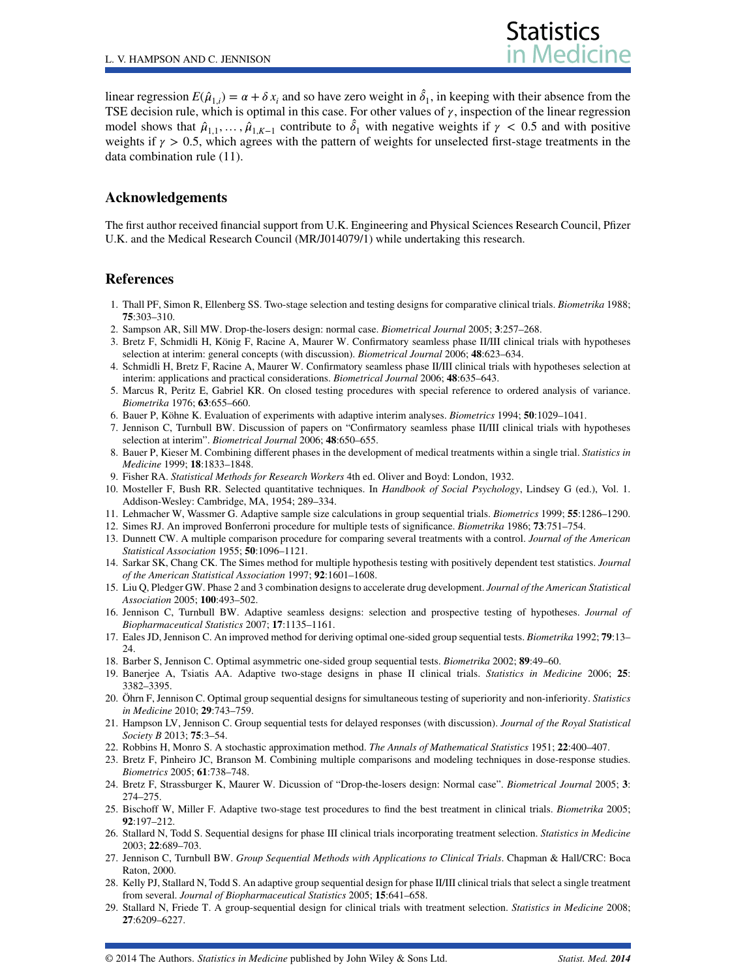

linear regression  $E(\hat{\mu}_{1,i}) = \alpha + \delta x_i$  and so have zero weight in  $\hat{\delta}_1$ , in keeping with their absence from the TSE decision rule, which is optimal in this case. For other values of  $\gamma$ , inspection of the linear regression model shows that  $\hat{\mu}_{1,1}, \dots, \hat{\mu}_{1,K-1}$  contribute to  $\hat{\delta}_1$  with negative weights if  $\gamma < 0.5$  and with positive weights if  $\gamma > 0.5$ , which agrees with the pattern of weights for unselected first-stage treatments in the data combination rule [\(11\)](#page-6-3).

#### **Acknowledgements**

The first author received financial support from U.K. Engineering and Physical Sciences Research Council, Pfizer U.K. and the Medical Research Council (MR/J014079/1) while undertaking this research.

#### **References**

- <span id="page-18-0"></span>1. Thall PF, Simon R, Ellenberg SS. Two-stage selection and testing designs for comparative clinical trials. *Biometrika* 1988; **75**:303–310.
- <span id="page-18-1"></span>2. Sampson AR, Sill MW. Drop-the-losers design: normal case. *Biometrical Journal* 2005; **3**:257–268.
- <span id="page-18-2"></span>3. Bretz F, Schmidli H, König F, Racine A, Maurer W. Confirmatory seamless phase II/III clinical trials with hypotheses selection at interim: general concepts (with discussion). *Biometrical Journal* 2006; **48**:623–634.
- <span id="page-18-3"></span>4. Schmidli H, Bretz F, Racine A, Maurer W. Confirmatory seamless phase II/III clinical trials with hypotheses selection at interim: applications and practical considerations. *Biometrical Journal* 2006; **48**:635–643.
- <span id="page-18-4"></span>5. Marcus R, Peritz E, Gabriel KR. On closed testing procedures with special reference to ordered analysis of variance. *Biometrika* 1976; **63**:655–660.
- <span id="page-18-5"></span>6. Bauer P, Köhne K. Evaluation of experiments with adaptive interim analyses. *Biometrics* 1994; **50**:1029–1041.
- <span id="page-18-6"></span>7. Jennison C, Turnbull BW. Discussion of papers on "Confirmatory seamless phase II/III clinical trials with hypotheses selection at interim". *Biometrical Journal* 2006; **48**:650–655.
- <span id="page-18-7"></span>8. Bauer P, Kieser M. Combining different phases in the development of medical treatments within a single trial. *Statistics in Medicine* 1999; **18**:1833–1848.
- <span id="page-18-8"></span>9. Fisher RA. *Statistical Methods for Research Workers* 4th ed. Oliver and Boyd: London, 1932.
- <span id="page-18-9"></span>10. Mosteller F, Bush RR. Selected quantitative techniques. In *Handbook of Social Psychology*, Lindsey G (ed.), Vol. 1. Addison-Wesley: Cambridge, MA, 1954; 289–334.
- <span id="page-18-10"></span>11. Lehmacher W, Wassmer G. Adaptive sample size calculations in group sequential trials. *Biometrics* 1999; **55**:1286–1290.
- <span id="page-18-11"></span>12. Simes RJ. An improved Bonferroni procedure for multiple tests of significance. *Biometrika* 1986; **73**:751–754.
- <span id="page-18-12"></span>13. Dunnett CW. A multiple comparison procedure for comparing several treatments with a control. *Journal of the American Statistical Association* 1955; **50**:1096–1121.
- <span id="page-18-13"></span>14. Sarkar SK, Chang CK. The Simes method for multiple hypothesis testing with positively dependent test statistics. *Journal of the American Statistical Association* 1997; **92**:1601–1608.
- <span id="page-18-14"></span>15. Liu Q, Pledger GW. Phase 2 and 3 combination designs to accelerate drug development. *Journal of the American Statistical Association* 2005; **100**:493–502.
- <span id="page-18-15"></span>16. Jennison C, Turnbull BW. Adaptive seamless designs: selection and prospective testing of hypotheses. *Journal of Biopharmaceutical Statistics* 2007; **17**:1135–1161.
- <span id="page-18-16"></span>17. Eales JD, Jennison C. An improved method for deriving optimal one-sided group sequential tests. *Biometrika* 1992; **79**:13– 24
- 18. Barber S, Jennison C. Optimal asymmetric one-sided group sequential tests. *Biometrika* 2002; **89**:49–60.
- 19. Banerjee A, Tsiatis AA. Adaptive two-stage designs in phase II clinical trials. *Statistics in Medicine* 2006; **25**: 3382–3395.
- 20. Öhrn F, Jennison C. Optimal group sequential designs for simultaneous testing of superiority and non-inferiority. *Statistics in Medicine* 2010; **29**:743–759.
- <span id="page-18-17"></span>21. Hampson LV, Jennison C. Group sequential tests for delayed responses (with discussion). *Journal of the Royal Statistical Society B* 2013; **75**:3–54.
- <span id="page-18-18"></span>22. Robbins H, Monro S. A stochastic approximation method. *The Annals of Mathematical Statistics* 1951; **22**:400–407.
- <span id="page-18-19"></span>23. Bretz F, Pinheiro JC, Branson M. Combining multiple comparisons and modeling techniques in dose-response studies. *Biometrics* 2005; **61**:738–748.
- <span id="page-18-20"></span>24. Bretz F, Strassburger K, Maurer W. Dicussion of "Drop-the-losers design: Normal case". *Biometrical Journal* 2005; **3**: 274–275.
- <span id="page-18-21"></span>25. Bischoff W, Miller F. Adaptive two-stage test procedures to find the best treatment in clinical trials. *Biometrika* 2005; **92**:197–212.
- <span id="page-18-22"></span>26. Stallard N, Todd S. Sequential designs for phase III clinical trials incorporating treatment selection. *Statistics in Medicine* 2003; **22**:689–703.
- <span id="page-18-23"></span>27. Jennison C, Turnbull BW. *Group Sequential Methods with Applications to Clinical Trials*. Chapman & Hall/CRC: Boca Raton, 2000.
- <span id="page-18-24"></span>28. Kelly PJ, Stallard N, Todd S. An adaptive group sequential design for phase II/III clinical trials that select a single treatment from several. *Journal of Biopharmaceutical Statistics* 2005; **15**:641–658.
- <span id="page-18-25"></span>29. Stallard N, Friede T. A group-sequential design for clinical trials with treatment selection. *Statistics in Medicine* 2008; **27**:6209–6227.